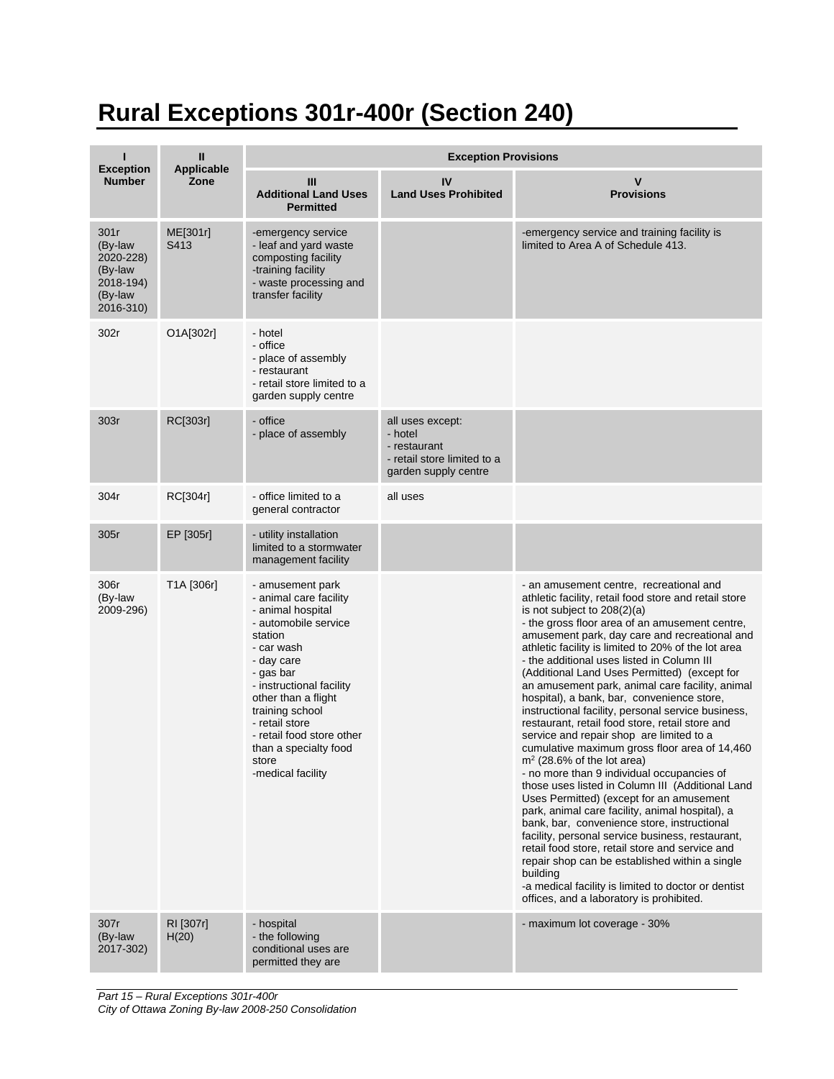## **Rural Exceptions 301r-400r (Section 240)**

|                                                                              | $\mathbf{u}$              | <b>Exception Provisions</b>                                                                                                                                                                                                                                                                                             |                                                                                                    |                                                                                                                                                                                                                                                                                                                                                                                                                                                                                                                                                                                                                                                                                                                                                                                                                                                                                                                                                                                                                                                                                                                                                                                                                                                          |  |
|------------------------------------------------------------------------------|---------------------------|-------------------------------------------------------------------------------------------------------------------------------------------------------------------------------------------------------------------------------------------------------------------------------------------------------------------------|----------------------------------------------------------------------------------------------------|----------------------------------------------------------------------------------------------------------------------------------------------------------------------------------------------------------------------------------------------------------------------------------------------------------------------------------------------------------------------------------------------------------------------------------------------------------------------------------------------------------------------------------------------------------------------------------------------------------------------------------------------------------------------------------------------------------------------------------------------------------------------------------------------------------------------------------------------------------------------------------------------------------------------------------------------------------------------------------------------------------------------------------------------------------------------------------------------------------------------------------------------------------------------------------------------------------------------------------------------------------|--|
| <b>Exception</b><br><b>Number</b>                                            | <b>Applicable</b><br>Zone | III<br><b>Additional Land Uses</b><br><b>Permitted</b>                                                                                                                                                                                                                                                                  | IV<br><b>Land Uses Prohibited</b>                                                                  | $\mathbf v$<br><b>Provisions</b>                                                                                                                                                                                                                                                                                                                                                                                                                                                                                                                                                                                                                                                                                                                                                                                                                                                                                                                                                                                                                                                                                                                                                                                                                         |  |
| 301r<br>(By-law<br>2020-228)<br>(By-law<br>2018-194)<br>(By-law<br>2016-310) | ME[301r]<br>S413          | -emergency service<br>- leaf and yard waste<br>composting facility<br>-training facility<br>- waste processing and<br>transfer facility                                                                                                                                                                                 |                                                                                                    | -emergency service and training facility is<br>limited to Area A of Schedule 413.                                                                                                                                                                                                                                                                                                                                                                                                                                                                                                                                                                                                                                                                                                                                                                                                                                                                                                                                                                                                                                                                                                                                                                        |  |
| 302r                                                                         | O1A[302r]                 | - hotel<br>- office<br>- place of assembly<br>- restaurant<br>- retail store limited to a<br>garden supply centre                                                                                                                                                                                                       |                                                                                                    |                                                                                                                                                                                                                                                                                                                                                                                                                                                                                                                                                                                                                                                                                                                                                                                                                                                                                                                                                                                                                                                                                                                                                                                                                                                          |  |
| 303r                                                                         | RC[303r]                  | - office<br>- place of assembly                                                                                                                                                                                                                                                                                         | all uses except:<br>- hotel<br>- restaurant<br>- retail store limited to a<br>garden supply centre |                                                                                                                                                                                                                                                                                                                                                                                                                                                                                                                                                                                                                                                                                                                                                                                                                                                                                                                                                                                                                                                                                                                                                                                                                                                          |  |
| 304r                                                                         | RC[304r]                  | - office limited to a<br>general contractor                                                                                                                                                                                                                                                                             | all uses                                                                                           |                                                                                                                                                                                                                                                                                                                                                                                                                                                                                                                                                                                                                                                                                                                                                                                                                                                                                                                                                                                                                                                                                                                                                                                                                                                          |  |
| 305r                                                                         | EP [305r]                 | - utility installation<br>limited to a stormwater<br>management facility                                                                                                                                                                                                                                                |                                                                                                    |                                                                                                                                                                                                                                                                                                                                                                                                                                                                                                                                                                                                                                                                                                                                                                                                                                                                                                                                                                                                                                                                                                                                                                                                                                                          |  |
| 306r<br>(By-law<br>2009-296)                                                 | T1A [306r]                | - amusement park<br>- animal care facility<br>- animal hospital<br>- automobile service<br>station<br>- car wash<br>- day care<br>- gas bar<br>- instructional facility<br>other than a flight<br>training school<br>- retail store<br>- retail food store other<br>than a specialty food<br>store<br>-medical facility |                                                                                                    | - an amusement centre, recreational and<br>athletic facility, retail food store and retail store<br>is not subject to $208(2)(a)$<br>- the gross floor area of an amusement centre,<br>amusement park, day care and recreational and<br>athletic facility is limited to 20% of the lot area<br>- the additional uses listed in Column III<br>(Additional Land Uses Permitted) (except for<br>an amusement park, animal care facility, animal<br>hospital), a bank, bar, convenience store,<br>instructional facility, personal service business,<br>restaurant, retail food store, retail store and<br>service and repair shop are limited to a<br>cumulative maximum gross floor area of 14,460<br>$m2$ (28.6% of the lot area)<br>- no more than 9 individual occupancies of<br>those uses listed in Column III (Additional Land<br>Uses Permitted) (except for an amusement<br>park, animal care facility, animal hospital), a<br>bank, bar, convenience store, instructional<br>facility, personal service business, restaurant,<br>retail food store, retail store and service and<br>repair shop can be established within a single<br>building<br>-a medical facility is limited to doctor or dentist<br>offices, and a laboratory is prohibited. |  |
| 307r<br>(By-law<br>2017-302)                                                 | RI [307r]<br>H(20)        | - hospital<br>- the following<br>conditional uses are<br>permitted they are                                                                                                                                                                                                                                             |                                                                                                    | - maximum lot coverage - 30%                                                                                                                                                                                                                                                                                                                                                                                                                                                                                                                                                                                                                                                                                                                                                                                                                                                                                                                                                                                                                                                                                                                                                                                                                             |  |

*Part 15 – Rural Exceptions 301r-400r City of Ottawa Zoning By-law 2008-250 Consolidation*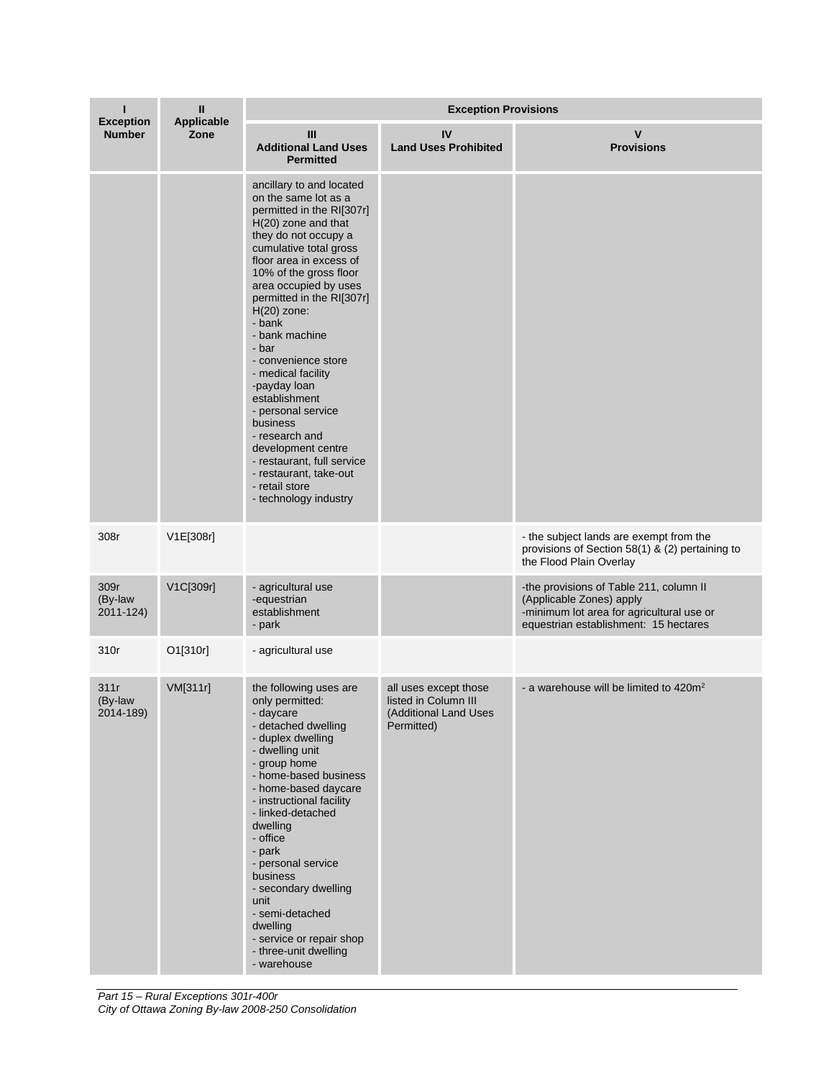| <b>Exception</b>             | Ш                         | <b>Exception Provisions</b>                                                                                                                                                                                                                                                                                                                                                                                                                                                                                                                                                        |                                                                                      |                                                                                                                                                           |  |
|------------------------------|---------------------------|------------------------------------------------------------------------------------------------------------------------------------------------------------------------------------------------------------------------------------------------------------------------------------------------------------------------------------------------------------------------------------------------------------------------------------------------------------------------------------------------------------------------------------------------------------------------------------|--------------------------------------------------------------------------------------|-----------------------------------------------------------------------------------------------------------------------------------------------------------|--|
| <b>Number</b>                | <b>Applicable</b><br>Zone | Ш<br><b>Additional Land Uses</b><br><b>Permitted</b>                                                                                                                                                                                                                                                                                                                                                                                                                                                                                                                               | IV<br><b>Land Uses Prohibited</b>                                                    | v<br><b>Provisions</b>                                                                                                                                    |  |
|                              |                           | ancillary to and located<br>on the same lot as a<br>permitted in the RI[307r]<br>H(20) zone and that<br>they do not occupy a<br>cumulative total gross<br>floor area in excess of<br>10% of the gross floor<br>area occupied by uses<br>permitted in the RI[307r]<br>$H(20)$ zone:<br>- bank<br>- bank machine<br>- bar<br>- convenience store<br>- medical facility<br>-payday loan<br>establishment<br>- personal service<br>business<br>- research and<br>development centre<br>- restaurant, full service<br>- restaurant, take-out<br>- retail store<br>- technology industry |                                                                                      |                                                                                                                                                           |  |
| 308r                         | V1E[308r]                 |                                                                                                                                                                                                                                                                                                                                                                                                                                                                                                                                                                                    |                                                                                      | - the subject lands are exempt from the<br>provisions of Section 58(1) & (2) pertaining to<br>the Flood Plain Overlay                                     |  |
| 309r<br>(By-law<br>2011-124) | V1C[309r]                 | - agricultural use<br>-equestrian<br>establishment<br>- park                                                                                                                                                                                                                                                                                                                                                                                                                                                                                                                       |                                                                                      | -the provisions of Table 211, column II<br>(Applicable Zones) apply<br>-minimum lot area for agricultural use or<br>equestrian establishment: 15 hectares |  |
| 310r                         | O1[310r]                  | - agricultural use                                                                                                                                                                                                                                                                                                                                                                                                                                                                                                                                                                 |                                                                                      |                                                                                                                                                           |  |
| 311r<br>(By-law<br>2014-189) | VM[311r]                  | the following uses are<br>only permitted:<br>- daycare<br>- detached dwelling<br>- duplex dwelling<br>- dwelling unit<br>- group home<br>- home-based business<br>- home-based daycare<br>- instructional facility<br>- linked-detached<br>dwelling<br>- office<br>- park<br>- personal service<br>business<br>- secondary dwelling<br>unit<br>- semi-detached<br>dwelling<br>- service or repair shop<br>- three-unit dwelling<br>- warehouse                                                                                                                                     | all uses except those<br>listed in Column III<br>(Additional Land Uses<br>Permitted) | - a warehouse will be limited to 420m <sup>2</sup>                                                                                                        |  |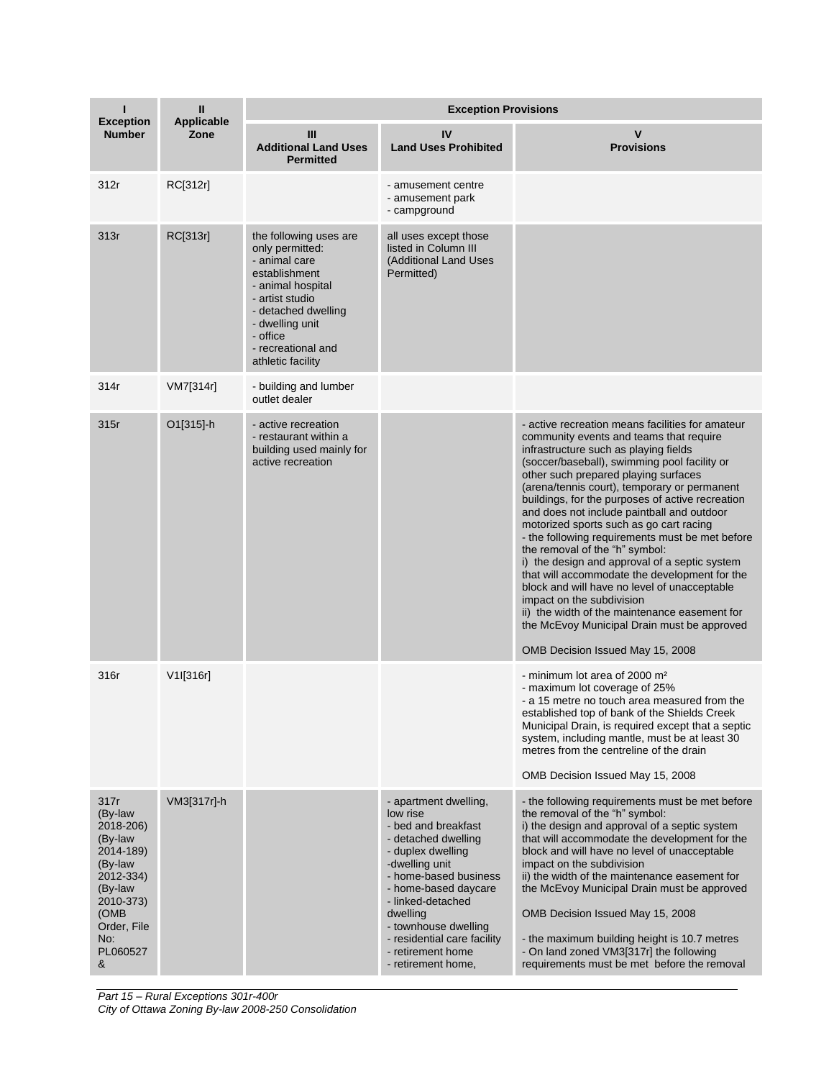| <b>Exception</b>                                                                                                                                    | Ш<br><b>Applicable</b> | <b>Exception Provisions</b>                                                                                                                                                                                          |                                                                                                                                                                                                                                                                                                            |                                                                                                                                                                                                                                                                                                                                                                                                                                                                                                                                                                                                                                                                                                                                                                                                                                   |  |
|-----------------------------------------------------------------------------------------------------------------------------------------------------|------------------------|----------------------------------------------------------------------------------------------------------------------------------------------------------------------------------------------------------------------|------------------------------------------------------------------------------------------------------------------------------------------------------------------------------------------------------------------------------------------------------------------------------------------------------------|-----------------------------------------------------------------------------------------------------------------------------------------------------------------------------------------------------------------------------------------------------------------------------------------------------------------------------------------------------------------------------------------------------------------------------------------------------------------------------------------------------------------------------------------------------------------------------------------------------------------------------------------------------------------------------------------------------------------------------------------------------------------------------------------------------------------------------------|--|
| <b>Number</b>                                                                                                                                       | Zone                   | III<br><b>Additional Land Uses</b><br><b>Permitted</b>                                                                                                                                                               | IV<br><b>Land Uses Prohibited</b>                                                                                                                                                                                                                                                                          | $\mathsf{v}$<br><b>Provisions</b>                                                                                                                                                                                                                                                                                                                                                                                                                                                                                                                                                                                                                                                                                                                                                                                                 |  |
| 312r                                                                                                                                                | RC[312r]               |                                                                                                                                                                                                                      | - amusement centre<br>- amusement park<br>- campground                                                                                                                                                                                                                                                     |                                                                                                                                                                                                                                                                                                                                                                                                                                                                                                                                                                                                                                                                                                                                                                                                                                   |  |
| 313r                                                                                                                                                | RC[313r]               | the following uses are<br>only permitted:<br>- animal care<br>establishment<br>- animal hospital<br>- artist studio<br>- detached dwelling<br>- dwelling unit<br>- office<br>- recreational and<br>athletic facility | all uses except those<br>listed in Column III<br>(Additional Land Uses<br>Permitted)                                                                                                                                                                                                                       |                                                                                                                                                                                                                                                                                                                                                                                                                                                                                                                                                                                                                                                                                                                                                                                                                                   |  |
| 314r                                                                                                                                                | VM7[314r]              | - building and lumber<br>outlet dealer                                                                                                                                                                               |                                                                                                                                                                                                                                                                                                            |                                                                                                                                                                                                                                                                                                                                                                                                                                                                                                                                                                                                                                                                                                                                                                                                                                   |  |
| 315r                                                                                                                                                | O1[315]-h              | - active recreation<br>- restaurant within a<br>building used mainly for<br>active recreation                                                                                                                        |                                                                                                                                                                                                                                                                                                            | - active recreation means facilities for amateur<br>community events and teams that require<br>infrastructure such as playing fields<br>(soccer/baseball), swimming pool facility or<br>other such prepared playing surfaces<br>(arena/tennis court), temporary or permanent<br>buildings, for the purposes of active recreation<br>and does not include paintball and outdoor<br>motorized sports such as go cart racing<br>- the following requirements must be met before<br>the removal of the "h" symbol:<br>i) the design and approval of a septic system<br>that will accommodate the development for the<br>block and will have no level of unacceptable<br>impact on the subdivision<br>ii) the width of the maintenance easement for<br>the McEvoy Municipal Drain must be approved<br>OMB Decision Issued May 15, 2008 |  |
| 316r                                                                                                                                                | $V1$ [316r]            |                                                                                                                                                                                                                      |                                                                                                                                                                                                                                                                                                            | - minimum lot area of 2000 m <sup>2</sup><br>- maximum lot coverage of 25%<br>- a 15 metre no touch area measured from the<br>established top of bank of the Shields Creek<br>Municipal Drain, is required except that a septic<br>system, including mantle, must be at least 30<br>metres from the centreline of the drain<br>OMB Decision Issued May 15, 2008                                                                                                                                                                                                                                                                                                                                                                                                                                                                   |  |
| 317r<br>(By-law<br>2018-206)<br>(By-law<br>2014-189)<br>(By-law<br>2012-334)<br>(By-law<br>2010-373)<br>(OMB<br>Order, File<br>No:<br>PL060527<br>& | VM3[317r]-h            |                                                                                                                                                                                                                      | - apartment dwelling,<br>low rise<br>- bed and breakfast<br>- detached dwelling<br>- duplex dwelling<br>-dwelling unit<br>- home-based business<br>- home-based daycare<br>- linked-detached<br>dwelling<br>- townhouse dwelling<br>- residential care facility<br>- retirement home<br>- retirement home, | - the following requirements must be met before<br>the removal of the "h" symbol:<br>i) the design and approval of a septic system<br>that will accommodate the development for the<br>block and will have no level of unacceptable<br>impact on the subdivision<br>ii) the width of the maintenance easement for<br>the McEvoy Municipal Drain must be approved<br>OMB Decision Issued May 15, 2008<br>- the maximum building height is 10.7 metres<br>- On land zoned VM3[317r] the following<br>requirements must be met before the removal                                                                                                                                                                                                                                                                                    |  |

*Part 15 – Rural Exceptions 301r-400r City of Ottawa Zoning By-law 2008-250 Consolidation*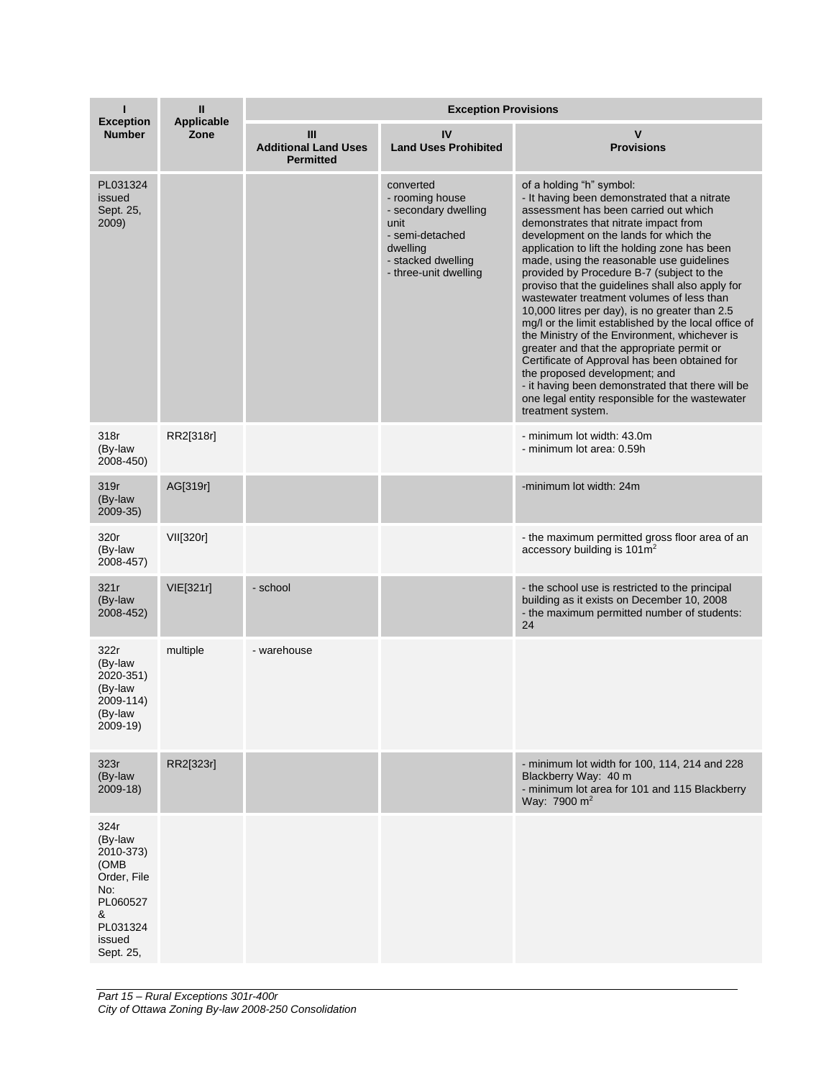|                                                                                                                | $\mathbf{I}$<br><b>Applicable</b> | <b>Exception Provisions</b>                          |                                                                                                                                            |                                                                                                                                                                                                                                                                                                                                                                                                                                                                                                                                                                                                                                                                                                                                                                                                                                                                         |  |
|----------------------------------------------------------------------------------------------------------------|-----------------------------------|------------------------------------------------------|--------------------------------------------------------------------------------------------------------------------------------------------|-------------------------------------------------------------------------------------------------------------------------------------------------------------------------------------------------------------------------------------------------------------------------------------------------------------------------------------------------------------------------------------------------------------------------------------------------------------------------------------------------------------------------------------------------------------------------------------------------------------------------------------------------------------------------------------------------------------------------------------------------------------------------------------------------------------------------------------------------------------------------|--|
| <b>Exception</b><br><b>Number</b>                                                                              | Zone                              | Ш<br><b>Additional Land Uses</b><br><b>Permitted</b> | IV<br><b>Land Uses Prohibited</b>                                                                                                          | v<br><b>Provisions</b>                                                                                                                                                                                                                                                                                                                                                                                                                                                                                                                                                                                                                                                                                                                                                                                                                                                  |  |
| PL031324<br>issued<br>Sept. 25,<br>2009)                                                                       |                                   |                                                      | converted<br>- rooming house<br>- secondary dwelling<br>unit<br>- semi-detached<br>dwelling<br>- stacked dwelling<br>- three-unit dwelling | of a holding "h" symbol:<br>- It having been demonstrated that a nitrate<br>assessment has been carried out which<br>demonstrates that nitrate impact from<br>development on the lands for which the<br>application to lift the holding zone has been<br>made, using the reasonable use guidelines<br>provided by Procedure B-7 (subject to the<br>proviso that the guidelines shall also apply for<br>wastewater treatment volumes of less than<br>10,000 litres per day), is no greater than 2.5<br>mg/l or the limit established by the local office of<br>the Ministry of the Environment, whichever is<br>greater and that the appropriate permit or<br>Certificate of Approval has been obtained for<br>the proposed development; and<br>- it having been demonstrated that there will be<br>one legal entity responsible for the wastewater<br>treatment system. |  |
| 318r<br>(By-law<br>2008-450)                                                                                   | RR2[318r]                         |                                                      |                                                                                                                                            | - minimum lot width: 43.0m<br>- minimum lot area: 0.59h                                                                                                                                                                                                                                                                                                                                                                                                                                                                                                                                                                                                                                                                                                                                                                                                                 |  |
| 319r<br>(By-law<br>2009-35)                                                                                    | AG[319r]                          |                                                      |                                                                                                                                            | -minimum lot width: 24m                                                                                                                                                                                                                                                                                                                                                                                                                                                                                                                                                                                                                                                                                                                                                                                                                                                 |  |
| 320r<br>(By-law<br>2008-457)                                                                                   | VII[320r]                         |                                                      |                                                                                                                                            | - the maximum permitted gross floor area of an<br>accessory building is $101 \text{m}^2$                                                                                                                                                                                                                                                                                                                                                                                                                                                                                                                                                                                                                                                                                                                                                                                |  |
| 321r<br>(By-law<br>2008-452)                                                                                   | VIE[321r]                         | - school                                             |                                                                                                                                            | - the school use is restricted to the principal<br>building as it exists on December 10, 2008<br>- the maximum permitted number of students:<br>24                                                                                                                                                                                                                                                                                                                                                                                                                                                                                                                                                                                                                                                                                                                      |  |
| 322r<br>(By-law<br>2020-351)<br>(By-law<br>2009-114)<br>(By-law<br>2009-19)                                    | multiple                          | - warehouse                                          |                                                                                                                                            |                                                                                                                                                                                                                                                                                                                                                                                                                                                                                                                                                                                                                                                                                                                                                                                                                                                                         |  |
| 323r<br>(By-law<br>$2009-18$                                                                                   | RR2[323r]                         |                                                      |                                                                                                                                            | - minimum lot width for 100, 114, 214 and 228<br>Blackberry Way: 40 m<br>- minimum lot area for 101 and 115 Blackberry<br>Wav: 7900 m <sup>2</sup>                                                                                                                                                                                                                                                                                                                                                                                                                                                                                                                                                                                                                                                                                                                      |  |
| 324r<br>(By-law<br>2010-373)<br>(OMB<br>Order, File<br>No:<br>PL060527<br>&<br>PL031324<br>issued<br>Sept. 25, |                                   |                                                      |                                                                                                                                            |                                                                                                                                                                                                                                                                                                                                                                                                                                                                                                                                                                                                                                                                                                                                                                                                                                                                         |  |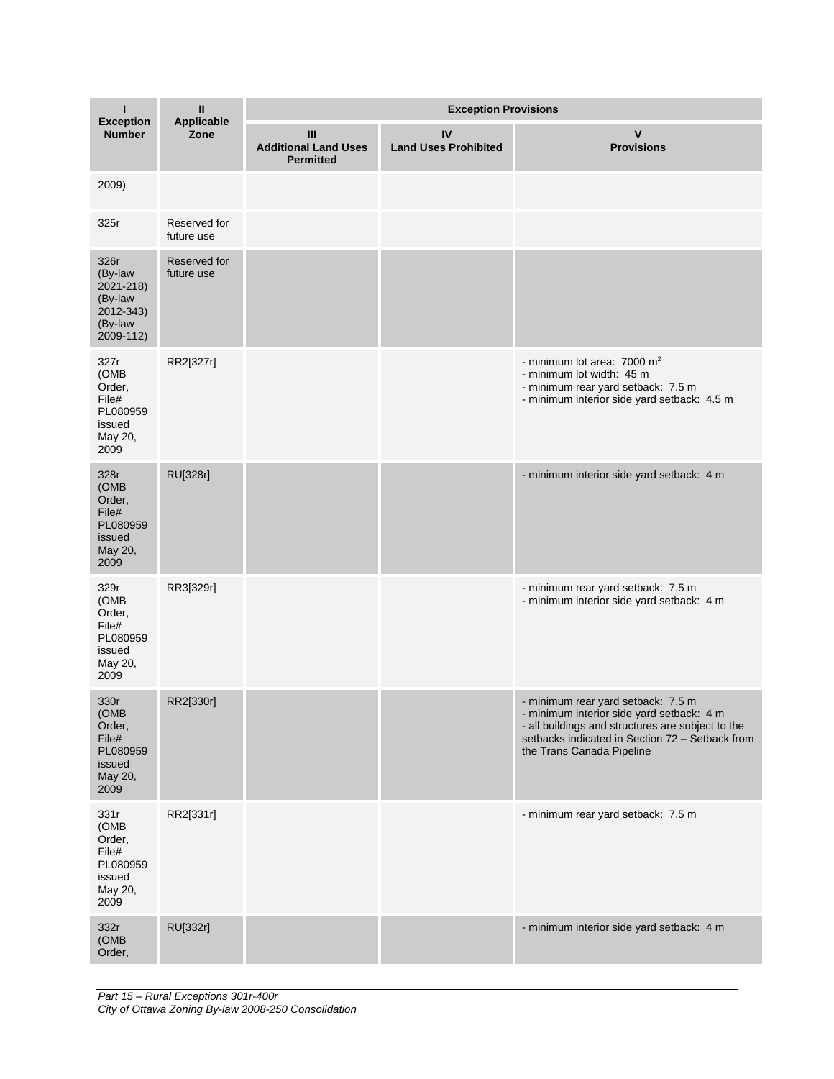|                                                                              | Ш<br>Applicable            | <b>Exception Provisions</b>                          |                                   |                                                                                                                                                                                                                      |  |
|------------------------------------------------------------------------------|----------------------------|------------------------------------------------------|-----------------------------------|----------------------------------------------------------------------------------------------------------------------------------------------------------------------------------------------------------------------|--|
| <b>Exception</b><br><b>Number</b>                                            | Zone                       | Ш<br><b>Additional Land Uses</b><br><b>Permitted</b> | IV<br><b>Land Uses Prohibited</b> | v<br><b>Provisions</b>                                                                                                                                                                                               |  |
| 2009)                                                                        |                            |                                                      |                                   |                                                                                                                                                                                                                      |  |
| 325r                                                                         | Reserved for<br>future use |                                                      |                                   |                                                                                                                                                                                                                      |  |
| 326r<br>(By-law<br>2021-218)<br>(By-law<br>2012-343)<br>(By-law<br>2009-112) | Reserved for<br>future use |                                                      |                                   |                                                                                                                                                                                                                      |  |
| 327r<br>(OMB<br>Order,<br>File#<br>PL080959<br>issued<br>May 20,<br>2009     | RR2[327r]                  |                                                      |                                   | - minimum lot area: $7000 \text{ m}^2$<br>- minimum lot width: 45 m<br>- minimum rear yard setback: 7.5 m<br>- minimum interior side yard setback: 4.5 m                                                             |  |
| 328r<br>(OMB<br>Order,<br>File#<br>PL080959<br>issued<br>May 20,<br>2009     | RU[328r]                   |                                                      |                                   | - minimum interior side yard setback: 4 m                                                                                                                                                                            |  |
| 329r<br>(OMB<br>Order,<br>File#<br>PL080959<br>issued<br>May 20,<br>2009     | RR3[329r]                  |                                                      |                                   | - minimum rear yard setback: 7.5 m<br>- minimum interior side yard setback: 4 m                                                                                                                                      |  |
| 330r<br>(OMB<br>Order,<br>File#<br>PL080959<br>issued<br>May 20,<br>2009     | RR2[330r]                  |                                                      |                                   | - minimum rear yard setback: 7.5 m<br>- minimum interior side yard setback: 4 m<br>- all buildings and structures are subject to the<br>setbacks indicated in Section 72 - Setback from<br>the Trans Canada Pipeline |  |
| 331r<br>(OMB<br>Order,<br>File#<br>PL080959<br>issued<br>May 20,<br>2009     | RR2[331r]                  |                                                      |                                   | - minimum rear yard setback: 7.5 m                                                                                                                                                                                   |  |
| 332r<br>(OMB<br>Order,                                                       | RU[332r]                   |                                                      |                                   | - minimum interior side yard setback: 4 m                                                                                                                                                                            |  |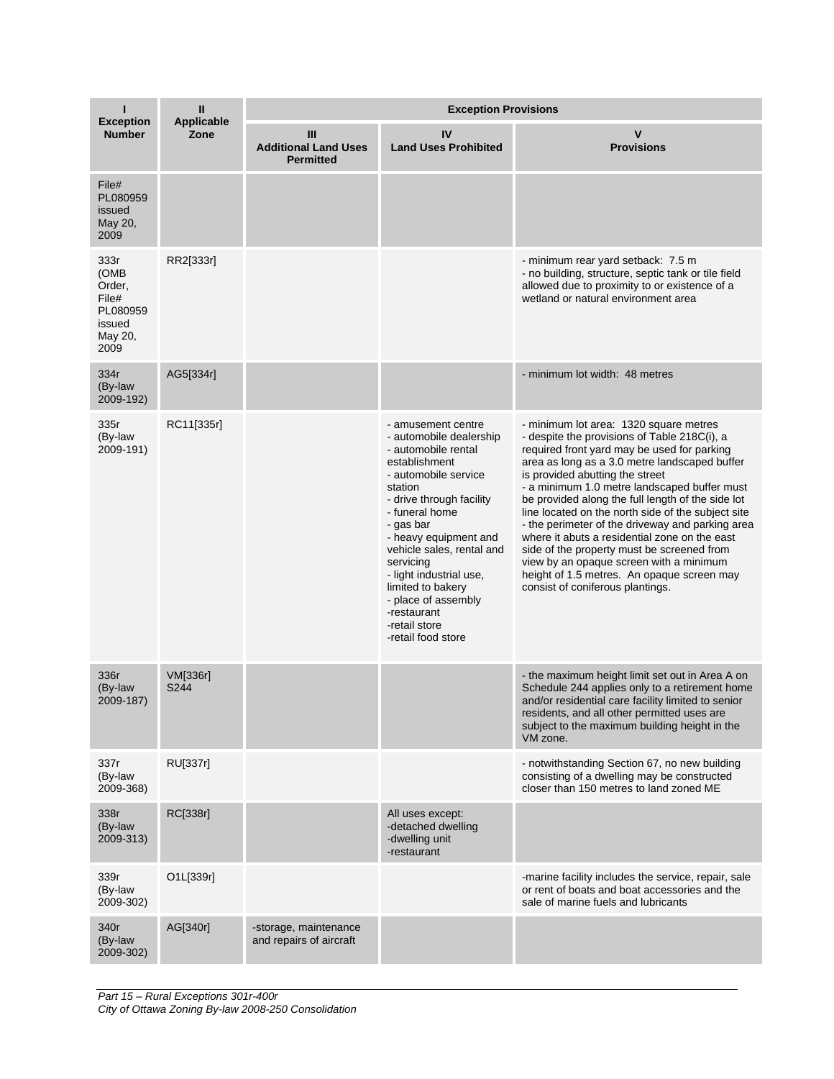|                                                                          | Ш<br><b>Applicable</b>  | <b>Exception Provisions</b>                          |                                                                                                                                                                                                                                                                                                                                                                                     |                                                                                                                                                                                                                                                                                                                                                                                                                                                                                                                                                                                                                                                                      |  |
|--------------------------------------------------------------------------|-------------------------|------------------------------------------------------|-------------------------------------------------------------------------------------------------------------------------------------------------------------------------------------------------------------------------------------------------------------------------------------------------------------------------------------------------------------------------------------|----------------------------------------------------------------------------------------------------------------------------------------------------------------------------------------------------------------------------------------------------------------------------------------------------------------------------------------------------------------------------------------------------------------------------------------------------------------------------------------------------------------------------------------------------------------------------------------------------------------------------------------------------------------------|--|
| <b>Exception</b><br><b>Number</b>                                        | Zone                    | Ш<br><b>Additional Land Uses</b><br><b>Permitted</b> | IV<br><b>Land Uses Prohibited</b>                                                                                                                                                                                                                                                                                                                                                   | v<br><b>Provisions</b>                                                                                                                                                                                                                                                                                                                                                                                                                                                                                                                                                                                                                                               |  |
| File#<br>PL080959<br>issued<br>May 20,<br>2009                           |                         |                                                      |                                                                                                                                                                                                                                                                                                                                                                                     |                                                                                                                                                                                                                                                                                                                                                                                                                                                                                                                                                                                                                                                                      |  |
| 333r<br>(OMB<br>Order,<br>File#<br>PL080959<br>issued<br>May 20,<br>2009 | RR2[333r]               |                                                      |                                                                                                                                                                                                                                                                                                                                                                                     | - minimum rear yard setback: 7.5 m<br>- no building, structure, septic tank or tile field<br>allowed due to proximity to or existence of a<br>wetland or natural environment area                                                                                                                                                                                                                                                                                                                                                                                                                                                                                    |  |
| 334r<br>(By-law<br>2009-192)                                             | AG5[334r]               |                                                      |                                                                                                                                                                                                                                                                                                                                                                                     | - minimum lot width: 48 metres                                                                                                                                                                                                                                                                                                                                                                                                                                                                                                                                                                                                                                       |  |
| 335r<br>(By-law<br>2009-191)                                             | RC11[335r]              |                                                      | - amusement centre<br>- automobile dealership<br>- automobile rental<br>establishment<br>- automobile service<br>station<br>- drive through facility<br>- funeral home<br>- gas bar<br>- heavy equipment and<br>vehicle sales, rental and<br>servicing<br>- light industrial use,<br>limited to bakery<br>- place of assembly<br>-restaurant<br>-retail store<br>-retail food store | - minimum lot area: 1320 square metres<br>- despite the provisions of Table 218C(i), a<br>required front yard may be used for parking<br>area as long as a 3.0 metre landscaped buffer<br>is provided abutting the street<br>- a minimum 1.0 metre landscaped buffer must<br>be provided along the full length of the side lot<br>line located on the north side of the subject site<br>- the perimeter of the driveway and parking area<br>where it abuts a residential zone on the east<br>side of the property must be screened from<br>view by an opaque screen with a minimum<br>height of 1.5 metres. An opaque screen may<br>consist of coniferous plantings. |  |
| 336r<br>(By-law<br>2009-187)                                             | <b>VM[336r]</b><br>S244 |                                                      |                                                                                                                                                                                                                                                                                                                                                                                     | - the maximum height limit set out in Area A on<br>Schedule 244 applies only to a retirement home<br>and/or residential care facility limited to senior<br>residents, and all other permitted uses are<br>subject to the maximum building height in the<br>VM zone.                                                                                                                                                                                                                                                                                                                                                                                                  |  |
| 337r<br>(By-law<br>2009-368)                                             | RU[337r]                |                                                      |                                                                                                                                                                                                                                                                                                                                                                                     | - notwithstanding Section 67, no new building<br>consisting of a dwelling may be constructed<br>closer than 150 metres to land zoned ME                                                                                                                                                                                                                                                                                                                                                                                                                                                                                                                              |  |
| 338r<br>(By-law<br>2009-313)                                             | RC[338r]                |                                                      | All uses except:<br>-detached dwelling<br>-dwelling unit<br>-restaurant                                                                                                                                                                                                                                                                                                             |                                                                                                                                                                                                                                                                                                                                                                                                                                                                                                                                                                                                                                                                      |  |
| 339r<br>(By-law<br>2009-302)                                             | O1L[339r]               |                                                      |                                                                                                                                                                                                                                                                                                                                                                                     | -marine facility includes the service, repair, sale<br>or rent of boats and boat accessories and the<br>sale of marine fuels and lubricants                                                                                                                                                                                                                                                                                                                                                                                                                                                                                                                          |  |
| 340r<br>(By-law<br>2009-302)                                             | AG[340r]                | -storage, maintenance<br>and repairs of aircraft     |                                                                                                                                                                                                                                                                                                                                                                                     |                                                                                                                                                                                                                                                                                                                                                                                                                                                                                                                                                                                                                                                                      |  |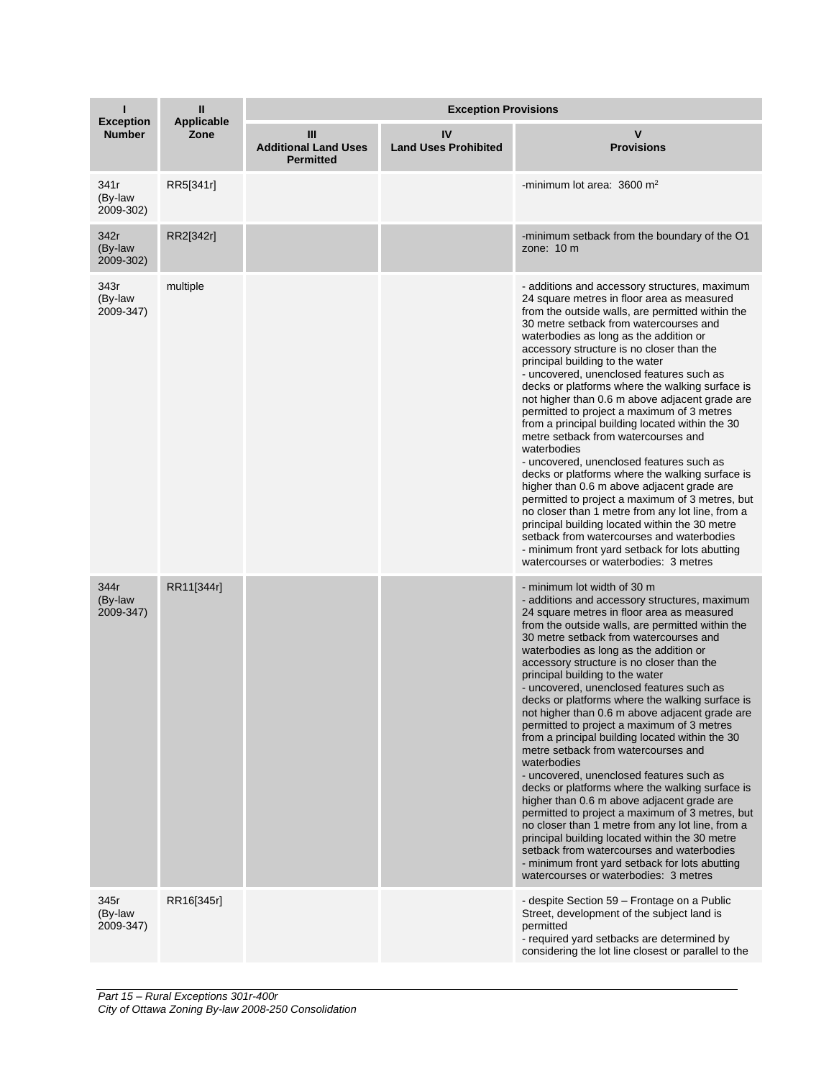| п                                 | $\mathbf{I}$              | <b>Exception Provisions</b>                          |                                   |                                                                                                                                                                                                                                                                                                                                                                                                                                                                                                                                                                                                                                                                                                                                                                                                                                                                                                                                                                                                                                                                                                          |  |
|-----------------------------------|---------------------------|------------------------------------------------------|-----------------------------------|----------------------------------------------------------------------------------------------------------------------------------------------------------------------------------------------------------------------------------------------------------------------------------------------------------------------------------------------------------------------------------------------------------------------------------------------------------------------------------------------------------------------------------------------------------------------------------------------------------------------------------------------------------------------------------------------------------------------------------------------------------------------------------------------------------------------------------------------------------------------------------------------------------------------------------------------------------------------------------------------------------------------------------------------------------------------------------------------------------|--|
| <b>Exception</b><br><b>Number</b> | <b>Applicable</b><br>Zone | Ш<br><b>Additional Land Uses</b><br><b>Permitted</b> | IV<br><b>Land Uses Prohibited</b> | v<br><b>Provisions</b>                                                                                                                                                                                                                                                                                                                                                                                                                                                                                                                                                                                                                                                                                                                                                                                                                                                                                                                                                                                                                                                                                   |  |
| 341r<br>(By-law<br>2009-302)      | RR5[341r]                 |                                                      |                                   | -minimum lot area: $3600 \text{ m}^2$                                                                                                                                                                                                                                                                                                                                                                                                                                                                                                                                                                                                                                                                                                                                                                                                                                                                                                                                                                                                                                                                    |  |
| 342r<br>(By-law<br>2009-302)      | RR2[342r]                 |                                                      |                                   | -minimum setback from the boundary of the O1<br>zone: $10 \text{ m}$                                                                                                                                                                                                                                                                                                                                                                                                                                                                                                                                                                                                                                                                                                                                                                                                                                                                                                                                                                                                                                     |  |
| 343r<br>(By-law<br>2009-347)      | multiple                  |                                                      |                                   | - additions and accessory structures, maximum<br>24 square metres in floor area as measured<br>from the outside walls, are permitted within the<br>30 metre setback from watercourses and<br>waterbodies as long as the addition or<br>accessory structure is no closer than the<br>principal building to the water<br>- uncovered, unenclosed features such as<br>decks or platforms where the walking surface is<br>not higher than 0.6 m above adjacent grade are<br>permitted to project a maximum of 3 metres<br>from a principal building located within the 30<br>metre setback from watercourses and<br>waterbodies<br>- uncovered, unenclosed features such as<br>decks or platforms where the walking surface is<br>higher than 0.6 m above adjacent grade are<br>permitted to project a maximum of 3 metres, but<br>no closer than 1 metre from any lot line, from a<br>principal building located within the 30 metre<br>setback from watercourses and waterbodies<br>- minimum front yard setback for lots abutting<br>watercourses or waterbodies: 3 metres                                |  |
| 344r<br>(By-law<br>2009-347)      | RR11[344r]                |                                                      |                                   | - minimum lot width of 30 m<br>- additions and accessory structures, maximum<br>24 square metres in floor area as measured<br>from the outside walls, are permitted within the<br>30 metre setback from watercourses and<br>waterbodies as long as the addition or<br>accessory structure is no closer than the<br>principal building to the water<br>- uncovered, unenclosed features such as<br>decks or platforms where the walking surface is<br>not higher than 0.6 m above adjacent grade are<br>permitted to project a maximum of 3 metres<br>from a principal building located within the 30<br>metre setback from watercourses and<br>waterbodies<br>- uncovered, unenclosed features such as<br>decks or platforms where the walking surface is<br>higher than 0.6 m above adjacent grade are<br>permitted to project a maximum of 3 metres, but<br>no closer than 1 metre from any lot line, from a<br>principal building located within the 30 metre<br>setback from watercourses and waterbodies<br>- minimum front yard setback for lots abutting<br>watercourses or waterbodies: 3 metres |  |
| 345r<br>(By-law<br>2009-347)      | RR16[345r]                |                                                      |                                   | - despite Section 59 - Frontage on a Public<br>Street, development of the subject land is<br>permitted<br>- required yard setbacks are determined by<br>considering the lot line closest or parallel to the                                                                                                                                                                                                                                                                                                                                                                                                                                                                                                                                                                                                                                                                                                                                                                                                                                                                                              |  |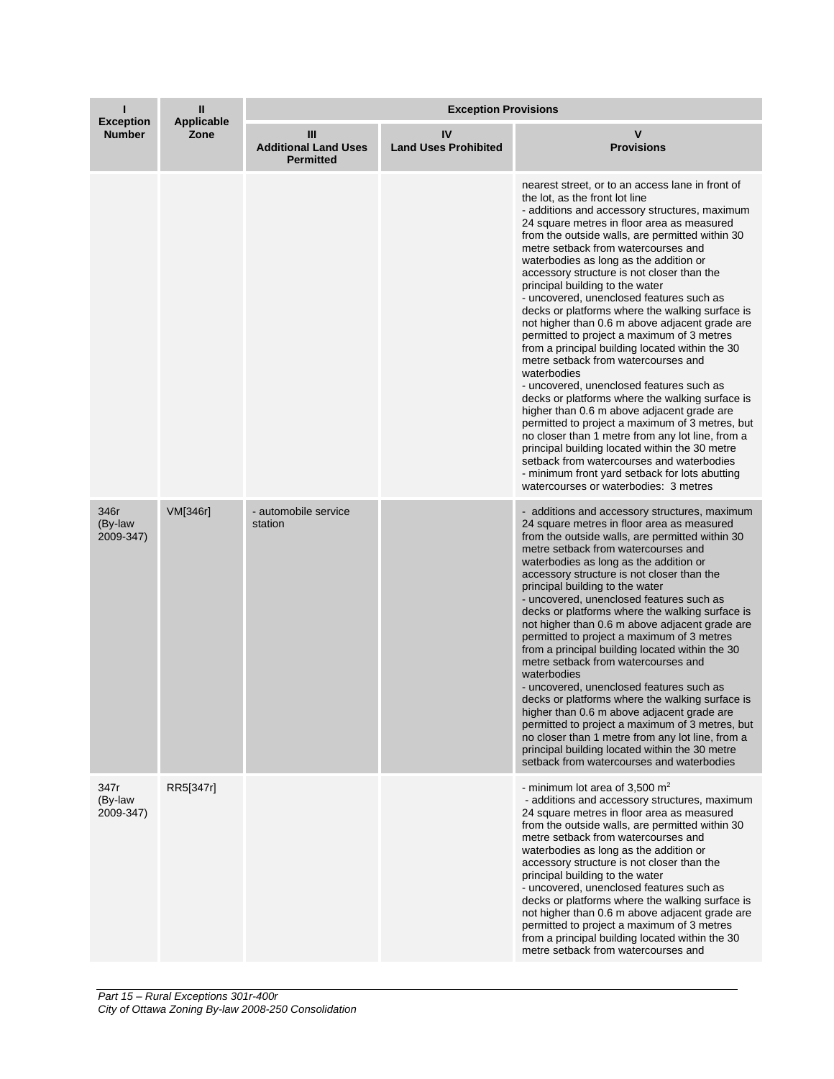| <b>Exception</b>             | Ш<br>Applicable | <b>Exception Provisions</b>                          |                                   |                                                                                                                                                                                                                                                                                                                                                                                                                                                                                                                                                                                                                                                                                                                                                                                                                                                                                                                                                                                                                                                                                                                                                              |  |
|------------------------------|-----------------|------------------------------------------------------|-----------------------------------|--------------------------------------------------------------------------------------------------------------------------------------------------------------------------------------------------------------------------------------------------------------------------------------------------------------------------------------------------------------------------------------------------------------------------------------------------------------------------------------------------------------------------------------------------------------------------------------------------------------------------------------------------------------------------------------------------------------------------------------------------------------------------------------------------------------------------------------------------------------------------------------------------------------------------------------------------------------------------------------------------------------------------------------------------------------------------------------------------------------------------------------------------------------|--|
| <b>Number</b>                | Zone            | Ш<br><b>Additional Land Uses</b><br><b>Permitted</b> | IV<br><b>Land Uses Prohibited</b> | ۷<br><b>Provisions</b>                                                                                                                                                                                                                                                                                                                                                                                                                                                                                                                                                                                                                                                                                                                                                                                                                                                                                                                                                                                                                                                                                                                                       |  |
|                              |                 |                                                      |                                   | nearest street, or to an access lane in front of<br>the lot, as the front lot line<br>- additions and accessory structures, maximum<br>24 square metres in floor area as measured<br>from the outside walls, are permitted within 30<br>metre setback from watercourses and<br>waterbodies as long as the addition or<br>accessory structure is not closer than the<br>principal building to the water<br>- uncovered, unenclosed features such as<br>decks or platforms where the walking surface is<br>not higher than 0.6 m above adjacent grade are<br>permitted to project a maximum of 3 metres<br>from a principal building located within the 30<br>metre setback from watercourses and<br>waterbodies<br>- uncovered, unenclosed features such as<br>decks or platforms where the walking surface is<br>higher than 0.6 m above adjacent grade are<br>permitted to project a maximum of 3 metres, but<br>no closer than 1 metre from any lot line, from a<br>principal building located within the 30 metre<br>setback from watercourses and waterbodies<br>- minimum front yard setback for lots abutting<br>watercourses or waterbodies: 3 metres |  |
| 346r<br>(By-law<br>2009-347) | VM[346r]        | - automobile service<br>station                      |                                   | - additions and accessory structures, maximum<br>24 square metres in floor area as measured<br>from the outside walls, are permitted within 30<br>metre setback from watercourses and<br>waterbodies as long as the addition or<br>accessory structure is not closer than the<br>principal building to the water<br>- uncovered, unenclosed features such as<br>decks or platforms where the walking surface is<br>not higher than 0.6 m above adjacent grade are<br>permitted to project a maximum of 3 metres<br>from a principal building located within the 30<br>metre setback from watercourses and<br>waterbodies<br>- uncovered, unenclosed features such as<br>decks or platforms where the walking surface is<br>higher than 0.6 m above adjacent grade are<br>permitted to project a maximum of 3 metres, but<br>no closer than 1 metre from any lot line, from a<br>principal building located within the 30 metre<br>setback from watercourses and waterbodies                                                                                                                                                                                  |  |
| 347r<br>(By-law<br>2009-347) | RR5[347r]       |                                                      |                                   | - minimum lot area of 3,500 $m2$<br>- additions and accessory structures, maximum<br>24 square metres in floor area as measured<br>from the outside walls, are permitted within 30<br>metre setback from watercourses and<br>waterbodies as long as the addition or<br>accessory structure is not closer than the<br>principal building to the water<br>- uncovered, unenclosed features such as<br>decks or platforms where the walking surface is<br>not higher than 0.6 m above adjacent grade are<br>permitted to project a maximum of 3 metres<br>from a principal building located within the 30<br>metre setback from watercourses and                                                                                                                                                                                                                                                                                                                                                                                                                                                                                                                |  |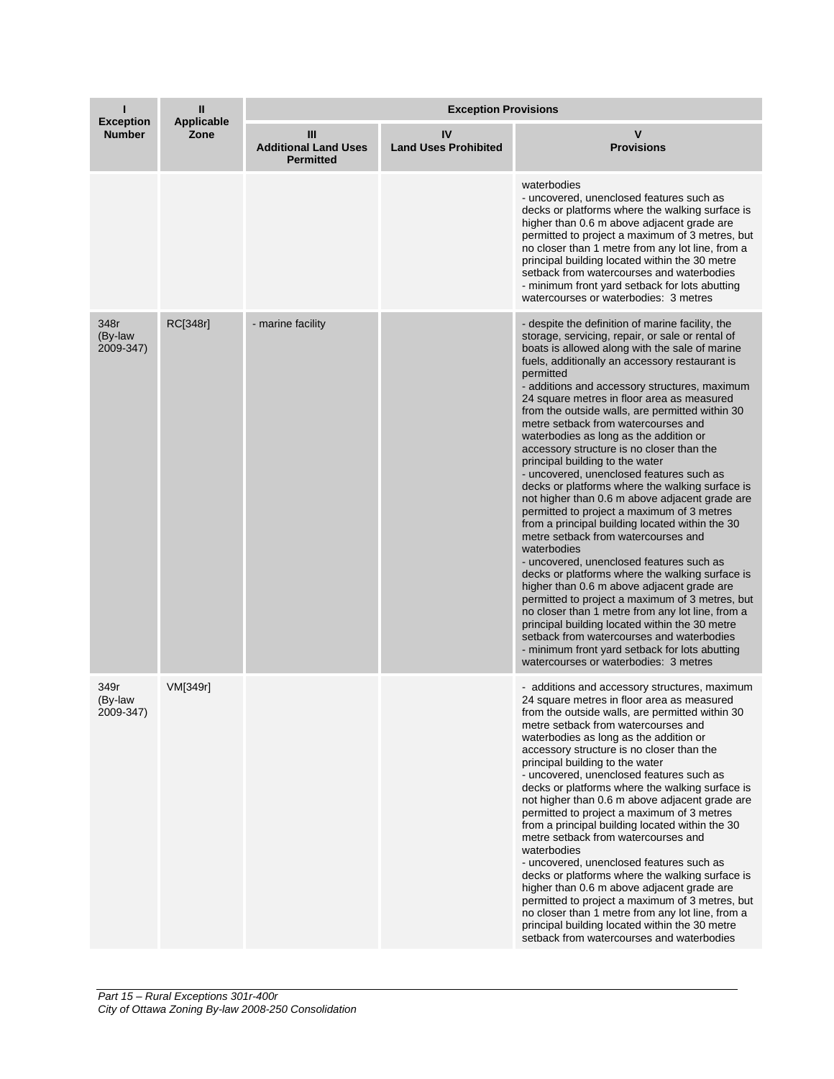| <b>Exception</b>             | Ш<br><b>Applicable</b> | <b>Exception Provisions</b>                          |                                   |                                                                                                                                                                                                                                                                                                                                                                                                                                                                                                                                                                                                                                                                                                                                                                                                                                                                                                                                                                                                                                                                                                                                                                                                                                                                                                |  |
|------------------------------|------------------------|------------------------------------------------------|-----------------------------------|------------------------------------------------------------------------------------------------------------------------------------------------------------------------------------------------------------------------------------------------------------------------------------------------------------------------------------------------------------------------------------------------------------------------------------------------------------------------------------------------------------------------------------------------------------------------------------------------------------------------------------------------------------------------------------------------------------------------------------------------------------------------------------------------------------------------------------------------------------------------------------------------------------------------------------------------------------------------------------------------------------------------------------------------------------------------------------------------------------------------------------------------------------------------------------------------------------------------------------------------------------------------------------------------|--|
| <b>Number</b>                | Zone                   | Ш<br><b>Additional Land Uses</b><br><b>Permitted</b> | IV<br><b>Land Uses Prohibited</b> | v<br><b>Provisions</b>                                                                                                                                                                                                                                                                                                                                                                                                                                                                                                                                                                                                                                                                                                                                                                                                                                                                                                                                                                                                                                                                                                                                                                                                                                                                         |  |
|                              |                        |                                                      |                                   | waterbodies<br>- uncovered, unenclosed features such as<br>decks or platforms where the walking surface is<br>higher than 0.6 m above adjacent grade are<br>permitted to project a maximum of 3 metres, but<br>no closer than 1 metre from any lot line, from a<br>principal building located within the 30 metre<br>setback from watercourses and waterbodies<br>- minimum front yard setback for lots abutting<br>watercourses or waterbodies: 3 metres                                                                                                                                                                                                                                                                                                                                                                                                                                                                                                                                                                                                                                                                                                                                                                                                                                      |  |
| 348r<br>(By-law<br>2009-347) | RC[348r]               | - marine facility                                    |                                   | - despite the definition of marine facility, the<br>storage, servicing, repair, or sale or rental of<br>boats is allowed along with the sale of marine<br>fuels, additionally an accessory restaurant is<br>permitted<br>- additions and accessory structures, maximum<br>24 square metres in floor area as measured<br>from the outside walls, are permitted within 30<br>metre setback from watercourses and<br>waterbodies as long as the addition or<br>accessory structure is no closer than the<br>principal building to the water<br>- uncovered, unenclosed features such as<br>decks or platforms where the walking surface is<br>not higher than 0.6 m above adjacent grade are<br>permitted to project a maximum of 3 metres<br>from a principal building located within the 30<br>metre setback from watercourses and<br>waterbodies<br>- uncovered, unenclosed features such as<br>decks or platforms where the walking surface is<br>higher than 0.6 m above adjacent grade are<br>permitted to project a maximum of 3 metres, but<br>no closer than 1 metre from any lot line, from a<br>principal building located within the 30 metre<br>setback from watercourses and waterbodies<br>- minimum front yard setback for lots abutting<br>watercourses or waterbodies: 3 metres |  |
| 349r<br>(By-law<br>2009-347) | VM[349r]               |                                                      |                                   | - additions and accessory structures, maximum<br>24 square metres in floor area as measured<br>from the outside walls, are permitted within 30<br>metre setback from watercourses and<br>waterbodies as long as the addition or<br>accessory structure is no closer than the<br>principal building to the water<br>- uncovered, unenclosed features such as<br>decks or platforms where the walking surface is<br>not higher than 0.6 m above adjacent grade are<br>permitted to project a maximum of 3 metres<br>from a principal building located within the 30<br>metre setback from watercourses and<br>waterbodies<br>- uncovered, unenclosed features such as<br>decks or platforms where the walking surface is<br>higher than 0.6 m above adjacent grade are<br>permitted to project a maximum of 3 metres, but<br>no closer than 1 metre from any lot line, from a<br>principal building located within the 30 metre<br>setback from watercourses and waterbodies                                                                                                                                                                                                                                                                                                                     |  |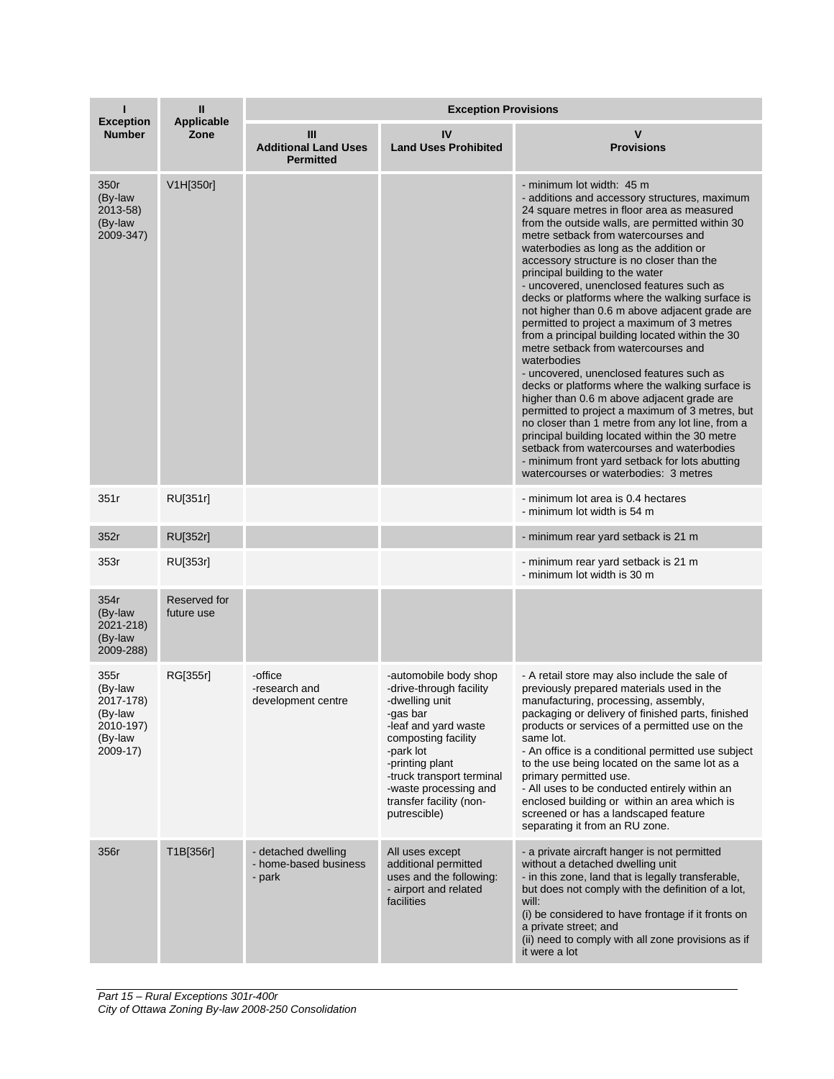| <b>Exception</b>                                                            | Ш<br><b>Applicable</b>     | <b>Exception Provisions</b>                            |                                                                                                                                                                                                                                                                |                                                                                                                                                                                                                                                                                                                                                                                                                                                                                                                                                                                                                                                                                                                                                                                                                                                                                                                                                                                                                                                                                                    |  |
|-----------------------------------------------------------------------------|----------------------------|--------------------------------------------------------|----------------------------------------------------------------------------------------------------------------------------------------------------------------------------------------------------------------------------------------------------------------|----------------------------------------------------------------------------------------------------------------------------------------------------------------------------------------------------------------------------------------------------------------------------------------------------------------------------------------------------------------------------------------------------------------------------------------------------------------------------------------------------------------------------------------------------------------------------------------------------------------------------------------------------------------------------------------------------------------------------------------------------------------------------------------------------------------------------------------------------------------------------------------------------------------------------------------------------------------------------------------------------------------------------------------------------------------------------------------------------|--|
| <b>Number</b>                                                               | Zone                       | Ш<br><b>Additional Land Uses</b><br><b>Permitted</b>   | IV<br><b>Land Uses Prohibited</b>                                                                                                                                                                                                                              | v<br><b>Provisions</b>                                                                                                                                                                                                                                                                                                                                                                                                                                                                                                                                                                                                                                                                                                                                                                                                                                                                                                                                                                                                                                                                             |  |
| 350r<br>(By-law<br>2013-58)<br>(By-law<br>2009-347)                         | V1H[350r]                  |                                                        |                                                                                                                                                                                                                                                                | - minimum lot width: 45 m<br>- additions and accessory structures, maximum<br>24 square metres in floor area as measured<br>from the outside walls, are permitted within 30<br>metre setback from watercourses and<br>waterbodies as long as the addition or<br>accessory structure is no closer than the<br>principal building to the water<br>- uncovered, unenclosed features such as<br>decks or platforms where the walking surface is<br>not higher than 0.6 m above adjacent grade are<br>permitted to project a maximum of 3 metres<br>from a principal building located within the 30<br>metre setback from watercourses and<br>waterbodies<br>- uncovered, unenclosed features such as<br>decks or platforms where the walking surface is<br>higher than 0.6 m above adjacent grade are<br>permitted to project a maximum of 3 metres, but<br>no closer than 1 metre from any lot line, from a<br>principal building located within the 30 metre<br>setback from watercourses and waterbodies<br>- minimum front yard setback for lots abutting<br>watercourses or waterbodies: 3 metres |  |
| 351r                                                                        | RU[351r]                   |                                                        |                                                                                                                                                                                                                                                                | - minimum lot area is 0.4 hectares<br>- minimum lot width is 54 m                                                                                                                                                                                                                                                                                                                                                                                                                                                                                                                                                                                                                                                                                                                                                                                                                                                                                                                                                                                                                                  |  |
| 352r                                                                        | RU[352r]                   |                                                        |                                                                                                                                                                                                                                                                | - minimum rear yard setback is 21 m                                                                                                                                                                                                                                                                                                                                                                                                                                                                                                                                                                                                                                                                                                                                                                                                                                                                                                                                                                                                                                                                |  |
| 353r                                                                        | RU[353r]                   |                                                        |                                                                                                                                                                                                                                                                | - minimum rear yard setback is 21 m<br>- minimum lot width is 30 m                                                                                                                                                                                                                                                                                                                                                                                                                                                                                                                                                                                                                                                                                                                                                                                                                                                                                                                                                                                                                                 |  |
| 354r<br>(By-law<br>2021-218)<br>(By-law<br>2009-288)                        | Reserved for<br>future use |                                                        |                                                                                                                                                                                                                                                                |                                                                                                                                                                                                                                                                                                                                                                                                                                                                                                                                                                                                                                                                                                                                                                                                                                                                                                                                                                                                                                                                                                    |  |
| 355r<br>(By-law<br>2017-178)<br>(By-law<br>2010-197)<br>(By-law<br>2009-17) | RG[355r]                   | -office<br>-research and<br>development centre         | -automobile body shop<br>-drive-through facility<br>-dwelling unit<br>-gas bar<br>-leaf and yard waste<br>composting facility<br>-park lot<br>-printing plant<br>-truck transport terminal<br>-waste processing and<br>transfer facility (non-<br>putrescible) | - A retail store may also include the sale of<br>previously prepared materials used in the<br>manufacturing, processing, assembly,<br>packaging or delivery of finished parts, finished<br>products or services of a permitted use on the<br>same lot.<br>- An office is a conditional permitted use subject<br>to the use being located on the same lot as a<br>primary permitted use.<br>- All uses to be conducted entirely within an<br>enclosed building or within an area which is<br>screened or has a landscaped feature<br>separating it from an RU zone.                                                                                                                                                                                                                                                                                                                                                                                                                                                                                                                                 |  |
| 356r                                                                        | T1B[356r]                  | - detached dwelling<br>- home-based business<br>- park | All uses except<br>additional permitted<br>uses and the following:<br>- airport and related<br>facilities                                                                                                                                                      | - a private aircraft hanger is not permitted<br>without a detached dwelling unit<br>- in this zone, land that is legally transferable,<br>but does not comply with the definition of a lot,<br>will:<br>(i) be considered to have frontage if it fronts on<br>a private street; and<br>(ii) need to comply with all zone provisions as if<br>it were a lot                                                                                                                                                                                                                                                                                                                                                                                                                                                                                                                                                                                                                                                                                                                                         |  |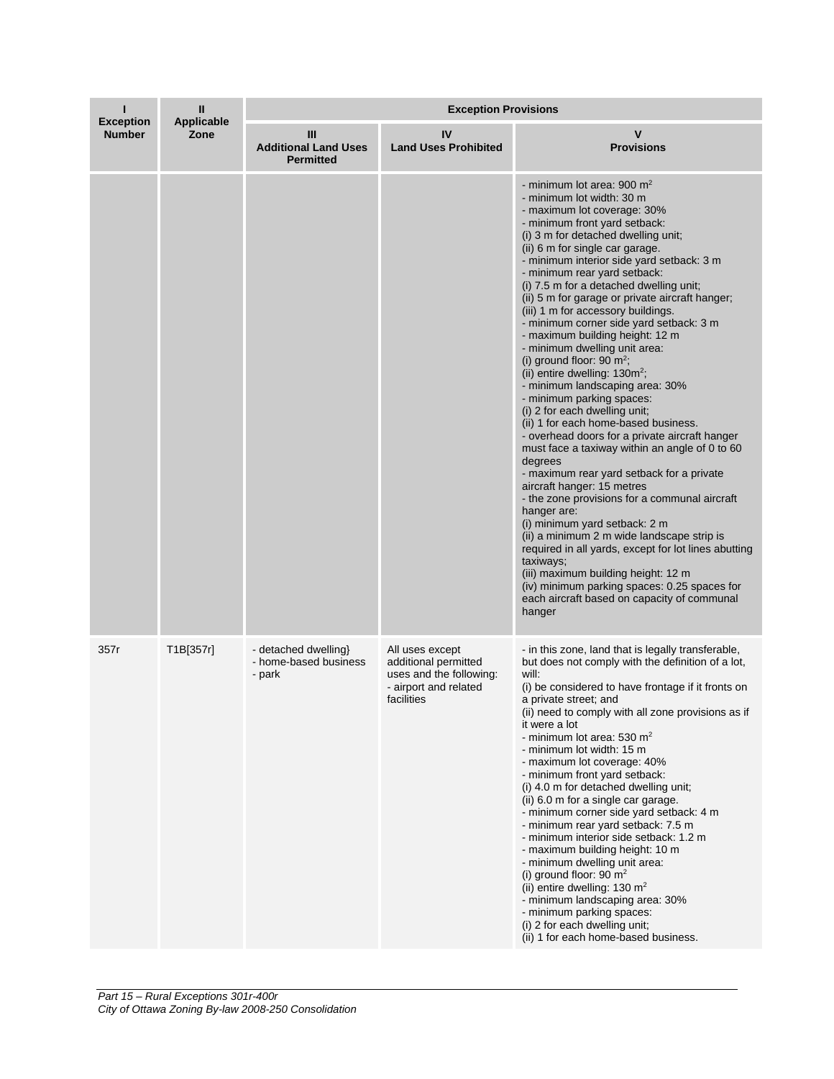| <b>Exception</b> | Ш                  | <b>Exception Provisions</b>                             |                                                                                                           |                                                                                                                                                                                                                                                                                                                                                                                                                                                                                                                                                                                                                                                                                                                                                                                                                                                                                                                                                                                                                                                                                                                                                                                                                                                                                                                |  |
|------------------|--------------------|---------------------------------------------------------|-----------------------------------------------------------------------------------------------------------|----------------------------------------------------------------------------------------------------------------------------------------------------------------------------------------------------------------------------------------------------------------------------------------------------------------------------------------------------------------------------------------------------------------------------------------------------------------------------------------------------------------------------------------------------------------------------------------------------------------------------------------------------------------------------------------------------------------------------------------------------------------------------------------------------------------------------------------------------------------------------------------------------------------------------------------------------------------------------------------------------------------------------------------------------------------------------------------------------------------------------------------------------------------------------------------------------------------------------------------------------------------------------------------------------------------|--|
| <b>Number</b>    | Applicable<br>Zone | Ш<br><b>Additional Land Uses</b><br><b>Permitted</b>    | IV<br><b>Land Uses Prohibited</b>                                                                         | <b>Provisions</b>                                                                                                                                                                                                                                                                                                                                                                                                                                                                                                                                                                                                                                                                                                                                                                                                                                                                                                                                                                                                                                                                                                                                                                                                                                                                                              |  |
|                  |                    |                                                         |                                                                                                           | - minimum lot area: 900 $m2$<br>- minimum lot width: 30 m<br>- maximum lot coverage: 30%<br>- minimum front yard setback:<br>(i) 3 m for detached dwelling unit;<br>(ii) 6 m for single car garage.<br>- minimum interior side yard setback: 3 m<br>- minimum rear yard setback:<br>(i) 7.5 m for a detached dwelling unit;<br>(ii) 5 m for garage or private aircraft hanger;<br>(iii) 1 m for accessory buildings.<br>- minimum corner side yard setback: 3 m<br>- maximum building height: 12 m<br>- minimum dwelling unit area:<br>(i) ground floor: 90 $m^2$ ;<br>(ii) entire dwelling: $130m^2$ ;<br>- minimum landscaping area: 30%<br>- minimum parking spaces:<br>(i) 2 for each dwelling unit;<br>(ii) 1 for each home-based business.<br>- overhead doors for a private aircraft hanger<br>must face a taxiway within an angle of 0 to 60<br>degrees<br>- maximum rear yard setback for a private<br>aircraft hanger: 15 metres<br>- the zone provisions for a communal aircraft<br>hanger are:<br>(i) minimum yard setback: 2 m<br>(ii) a minimum 2 m wide landscape strip is<br>required in all yards, except for lot lines abutting<br>taxiways;<br>(iii) maximum building height: 12 m<br>(iv) minimum parking spaces: 0.25 spaces for<br>each aircraft based on capacity of communal<br>hanger |  |
| 357r             | T1B[357r]          | - detached dwelling}<br>- home-based business<br>- park | All uses except<br>additional permitted<br>uses and the following:<br>- airport and related<br>facilities | - in this zone, land that is legally transferable,<br>but does not comply with the definition of a lot,<br>will:<br>(i) be considered to have frontage if it fronts on<br>a private street; and<br>(ii) need to comply with all zone provisions as if<br>it were a lot<br>- minimum lot area: 530 $m2$<br>- minimum lot width: 15 m<br>- maximum lot coverage: 40%<br>- minimum front yard setback:<br>(i) 4.0 m for detached dwelling unit;<br>(ii) 6.0 m for a single car garage.<br>- minimum corner side yard setback: 4 m<br>- minimum rear yard setback: 7.5 m<br>- minimum interior side setback: 1.2 m<br>- maximum building height: 10 m<br>- minimum dwelling unit area:<br>(i) ground floor: 90 $m2$<br>(ii) entire dwelling: 130 $m2$<br>- minimum landscaping area: 30%<br>- minimum parking spaces:<br>(i) 2 for each dwelling unit;<br>(ii) 1 for each home-based business.                                                                                                                                                                                                                                                                                                                                                                                                                     |  |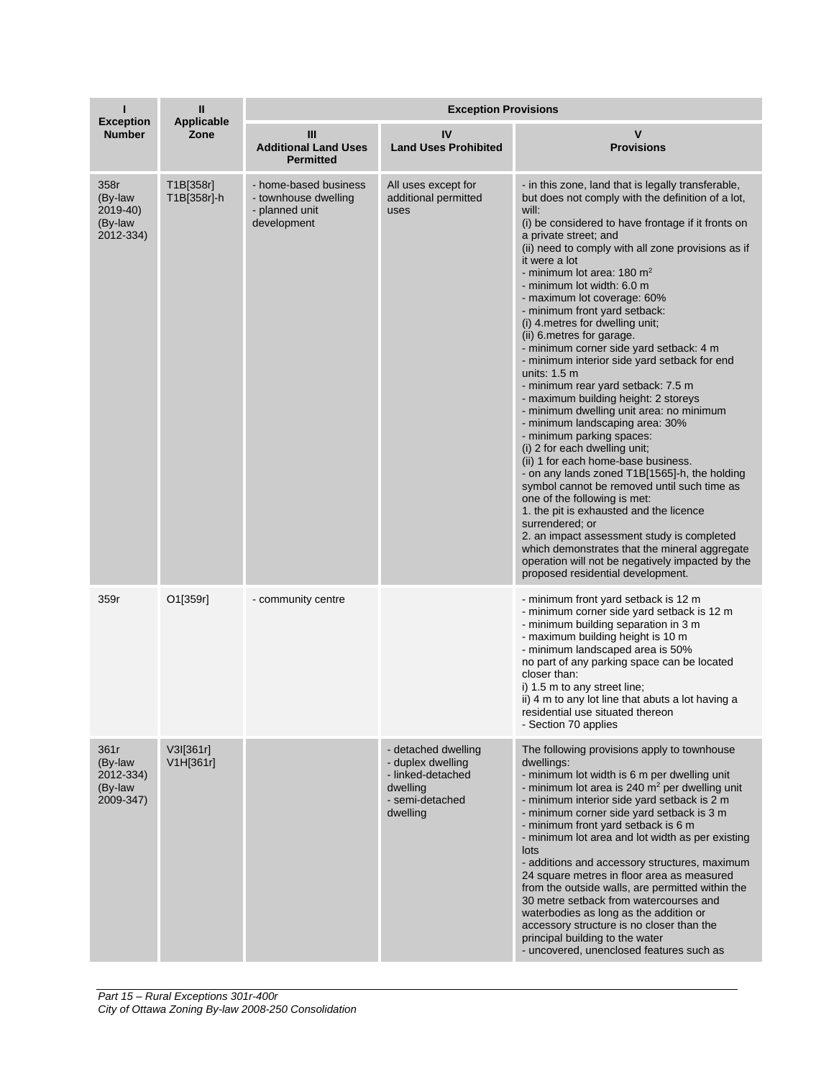| <b>Exception</b>                                     | Ш                         | <b>Exception Provisions</b>                                                    |                                                                                                          |                                                                                                                                                                                                                                                                                                                                                                                                                                                                                                                                                                                                                                                                                                                                                                                                                                                                                                                                                                                                                                                                                                                                                                                                                                                              |  |
|------------------------------------------------------|---------------------------|--------------------------------------------------------------------------------|----------------------------------------------------------------------------------------------------------|--------------------------------------------------------------------------------------------------------------------------------------------------------------------------------------------------------------------------------------------------------------------------------------------------------------------------------------------------------------------------------------------------------------------------------------------------------------------------------------------------------------------------------------------------------------------------------------------------------------------------------------------------------------------------------------------------------------------------------------------------------------------------------------------------------------------------------------------------------------------------------------------------------------------------------------------------------------------------------------------------------------------------------------------------------------------------------------------------------------------------------------------------------------------------------------------------------------------------------------------------------------|--|
| <b>Number</b>                                        | <b>Applicable</b><br>Zone | Ш<br><b>Additional Land Uses</b><br><b>Permitted</b>                           | IV<br><b>Land Uses Prohibited</b>                                                                        | v<br><b>Provisions</b>                                                                                                                                                                                                                                                                                                                                                                                                                                                                                                                                                                                                                                                                                                                                                                                                                                                                                                                                                                                                                                                                                                                                                                                                                                       |  |
| 358r<br>(By-law<br>2019-40)<br>(By-law<br>2012-334)  | T1B[358r]<br>T1B[358r]-h  | - home-based business<br>- townhouse dwelling<br>- planned unit<br>development | All uses except for<br>additional permitted<br>uses                                                      | - in this zone, land that is legally transferable,<br>but does not comply with the definition of a lot,<br>will:<br>(i) be considered to have frontage if it fronts on<br>a private street; and<br>(ii) need to comply with all zone provisions as if<br>it were a lot<br>- minimum lot area: $180 \text{ m}^2$<br>- minimum lot width: 6.0 m<br>- maximum lot coverage: 60%<br>- minimum front yard setback:<br>(i) 4. metres for dwelling unit;<br>(ii) 6. metres for garage.<br>- minimum corner side yard setback: 4 m<br>- minimum interior side yard setback for end<br>units: $1.5 \text{ m}$<br>- minimum rear yard setback: 7.5 m<br>- maximum building height: 2 storeys<br>- minimum dwelling unit area: no minimum<br>- minimum landscaping area: 30%<br>- minimum parking spaces:<br>(i) 2 for each dwelling unit;<br>(ii) 1 for each home-base business.<br>- on any lands zoned T1B[1565]-h, the holding<br>symbol cannot be removed until such time as<br>one of the following is met:<br>1. the pit is exhausted and the licence<br>surrendered; or<br>2. an impact assessment study is completed<br>which demonstrates that the mineral aggregate<br>operation will not be negatively impacted by the<br>proposed residential development. |  |
| 359r                                                 | O1[359r]                  | - community centre                                                             |                                                                                                          | - minimum front yard setback is 12 m<br>- minimum corner side yard setback is 12 m<br>- minimum building separation in 3 m<br>- maximum building height is 10 m<br>- minimum landscaped area is 50%<br>no part of any parking space can be located<br>closer than:<br>i) 1.5 m to any street line;<br>ii) 4 m to any lot line that abuts a lot having a<br>residential use situated thereon<br>- Section 70 applies                                                                                                                                                                                                                                                                                                                                                                                                                                                                                                                                                                                                                                                                                                                                                                                                                                          |  |
| 361r<br>(By-law<br>2012-334)<br>(By-law<br>2009-347) | V3I[361r]<br>V1H[361r]    |                                                                                | - detached dwelling<br>- duplex dwelling<br>- linked-detached<br>dwelling<br>- semi-detached<br>dwelling | The following provisions apply to townhouse<br>dwellings:<br>- minimum lot width is 6 m per dwelling unit<br>- minimum lot area is 240 $m2$ per dwelling unit<br>- minimum interior side yard setback is 2 m<br>- minimum corner side yard setback is 3 m<br>- minimum front yard setback is 6 m<br>- minimum lot area and lot width as per existing<br>lots<br>- additions and accessory structures, maximum<br>24 square metres in floor area as measured<br>from the outside walls, are permitted within the<br>30 metre setback from watercourses and<br>waterbodies as long as the addition or<br>accessory structure is no closer than the<br>principal building to the water<br>- uncovered, unenclosed features such as                                                                                                                                                                                                                                                                                                                                                                                                                                                                                                                              |  |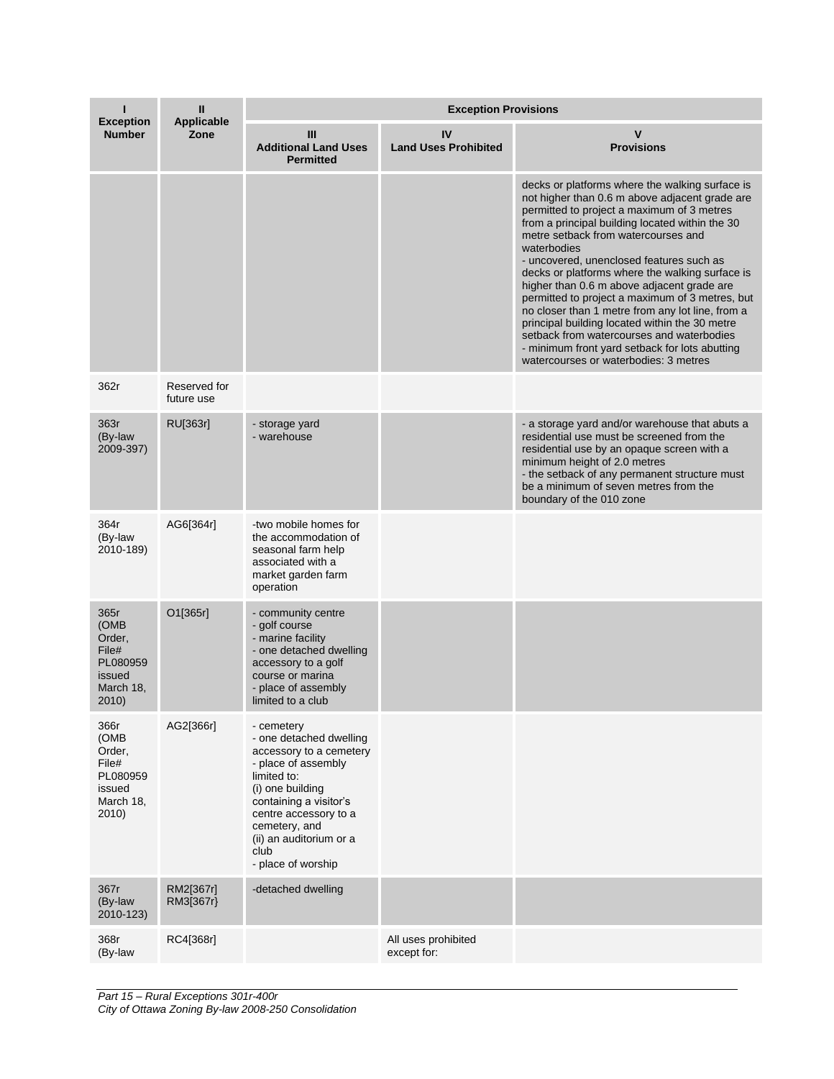| <b>Exception</b>                                                            | Ш<br><b>Applicable</b><br>Zone | <b>Exception Provisions</b>                                                                                                                                                                                                                             |                                    |                                                                                                                                                                                                                                                                                                                                                                                                                                                                                                                                                                                                                                                                                                        |  |
|-----------------------------------------------------------------------------|--------------------------------|---------------------------------------------------------------------------------------------------------------------------------------------------------------------------------------------------------------------------------------------------------|------------------------------------|--------------------------------------------------------------------------------------------------------------------------------------------------------------------------------------------------------------------------------------------------------------------------------------------------------------------------------------------------------------------------------------------------------------------------------------------------------------------------------------------------------------------------------------------------------------------------------------------------------------------------------------------------------------------------------------------------------|--|
| <b>Number</b>                                                               |                                | Ш<br><b>Additional Land Uses</b><br><b>Permitted</b>                                                                                                                                                                                                    | IV<br><b>Land Uses Prohibited</b>  | v<br><b>Provisions</b>                                                                                                                                                                                                                                                                                                                                                                                                                                                                                                                                                                                                                                                                                 |  |
|                                                                             |                                |                                                                                                                                                                                                                                                         |                                    | decks or platforms where the walking surface is<br>not higher than 0.6 m above adjacent grade are<br>permitted to project a maximum of 3 metres<br>from a principal building located within the 30<br>metre setback from watercourses and<br>waterbodies<br>- uncovered, unenclosed features such as<br>decks or platforms where the walking surface is<br>higher than 0.6 m above adjacent grade are<br>permitted to project a maximum of 3 metres, but<br>no closer than 1 metre from any lot line, from a<br>principal building located within the 30 metre<br>setback from watercourses and waterbodies<br>- minimum front yard setback for lots abutting<br>watercourses or waterbodies: 3 metres |  |
| 362r                                                                        | Reserved for<br>future use     |                                                                                                                                                                                                                                                         |                                    |                                                                                                                                                                                                                                                                                                                                                                                                                                                                                                                                                                                                                                                                                                        |  |
| 363r<br>(By-law<br>2009-397)                                                | RU[363r]                       | - storage yard<br>- warehouse                                                                                                                                                                                                                           |                                    | - a storage yard and/or warehouse that abuts a<br>residential use must be screened from the<br>residential use by an opaque screen with a<br>minimum height of 2.0 metres<br>- the setback of any permanent structure must<br>be a minimum of seven metres from the<br>boundary of the 010 zone                                                                                                                                                                                                                                                                                                                                                                                                        |  |
| 364r<br>(By-law<br>2010-189)                                                | AG6[364r]                      | -two mobile homes for<br>the accommodation of<br>seasonal farm help<br>associated with a<br>market garden farm<br>operation                                                                                                                             |                                    |                                                                                                                                                                                                                                                                                                                                                                                                                                                                                                                                                                                                                                                                                                        |  |
| 365r<br>(OMB<br>Order,<br>File#<br>PL080959<br>issued<br>March 18,<br>2010) | O1[365r]                       | - community centre<br>- golf course<br>- marine facility<br>- one detached dwelling<br>accessory to a golf<br>course or marina<br>- place of assembly<br>limited to a club                                                                              |                                    |                                                                                                                                                                                                                                                                                                                                                                                                                                                                                                                                                                                                                                                                                                        |  |
| 366r<br>(OMB<br>Order,<br>File#<br>PL080959<br>issued<br>March 18,<br>2010) | AG2[366r]                      | - cemetery<br>- one detached dwelling<br>accessory to a cemetery<br>- place of assembly<br>limited to:<br>(i) one building<br>containing a visitor's<br>centre accessory to a<br>cemetery, and<br>(ii) an auditorium or a<br>club<br>- place of worship |                                    |                                                                                                                                                                                                                                                                                                                                                                                                                                                                                                                                                                                                                                                                                                        |  |
| 367r<br>(By-law<br>2010-123)                                                | RM2[367r]<br>RM3[367r}         | -detached dwelling                                                                                                                                                                                                                                      |                                    |                                                                                                                                                                                                                                                                                                                                                                                                                                                                                                                                                                                                                                                                                                        |  |
| 368r<br>(By-law                                                             | RC4[368r]                      |                                                                                                                                                                                                                                                         | All uses prohibited<br>except for: |                                                                                                                                                                                                                                                                                                                                                                                                                                                                                                                                                                                                                                                                                                        |  |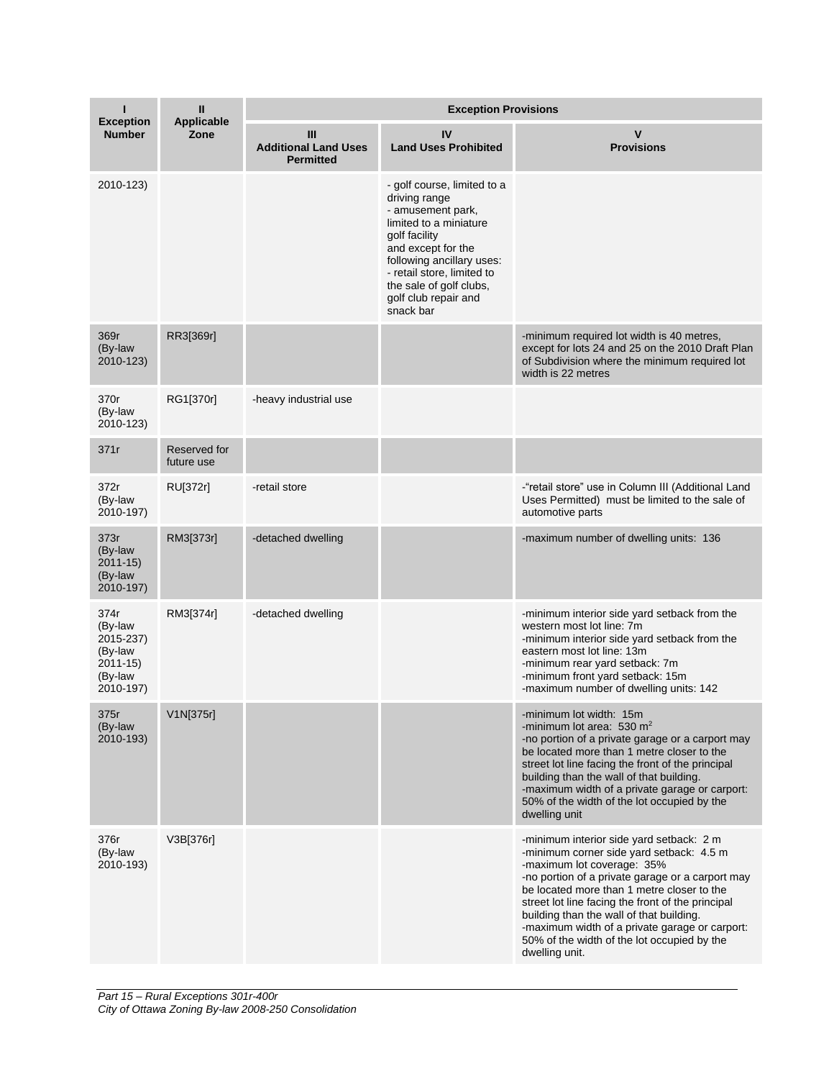| <b>Exception</b>                                                               | Ш<br><b>Applicable</b><br>Zone | <b>Exception Provisions</b>                          |                                                                                                                                                                                                                                                               |                                                                                                                                                                                                                                                                                                                                                                                                                                          |  |
|--------------------------------------------------------------------------------|--------------------------------|------------------------------------------------------|---------------------------------------------------------------------------------------------------------------------------------------------------------------------------------------------------------------------------------------------------------------|------------------------------------------------------------------------------------------------------------------------------------------------------------------------------------------------------------------------------------------------------------------------------------------------------------------------------------------------------------------------------------------------------------------------------------------|--|
| <b>Number</b>                                                                  |                                | Ш<br><b>Additional Land Uses</b><br><b>Permitted</b> | IV<br><b>Land Uses Prohibited</b>                                                                                                                                                                                                                             | v<br><b>Provisions</b>                                                                                                                                                                                                                                                                                                                                                                                                                   |  |
| 2010-123)                                                                      |                                |                                                      | - golf course, limited to a<br>driving range<br>- amusement park,<br>limited to a miniature<br>golf facility<br>and except for the<br>following ancillary uses:<br>- retail store, limited to<br>the sale of golf clubs,<br>golf club repair and<br>snack bar |                                                                                                                                                                                                                                                                                                                                                                                                                                          |  |
| 369r<br>(By-law<br>2010-123)                                                   | RR3[369r]                      |                                                      |                                                                                                                                                                                                                                                               | -minimum required lot width is 40 metres,<br>except for lots 24 and 25 on the 2010 Draft Plan<br>of Subdivision where the minimum required lot<br>width is 22 metres                                                                                                                                                                                                                                                                     |  |
| 370r<br>(By-law<br>2010-123)                                                   | RG1[370r]                      | -heavy industrial use                                |                                                                                                                                                                                                                                                               |                                                                                                                                                                                                                                                                                                                                                                                                                                          |  |
| 371r                                                                           | Reserved for<br>future use     |                                                      |                                                                                                                                                                                                                                                               |                                                                                                                                                                                                                                                                                                                                                                                                                                          |  |
| 372r<br>(By-law<br>2010-197)                                                   | RU[372r]                       | -retail store                                        |                                                                                                                                                                                                                                                               | -"retail store" use in Column III (Additional Land<br>Uses Permitted) must be limited to the sale of<br>automotive parts                                                                                                                                                                                                                                                                                                                 |  |
| 373r<br>(By-law<br>$2011 - 15$<br>(By-law<br>2010-197)                         | RM3[373r]                      | -detached dwelling                                   |                                                                                                                                                                                                                                                               | -maximum number of dwelling units: 136                                                                                                                                                                                                                                                                                                                                                                                                   |  |
| 374r<br>(By-law<br>2015-237)<br>(By-law<br>$2011 - 15$<br>(By-law<br>2010-197) | RM3[374r]                      | -detached dwelling                                   |                                                                                                                                                                                                                                                               | -minimum interior side yard setback from the<br>western most lot line: 7m<br>-minimum interior side yard setback from the<br>eastern most lot line: 13m<br>-minimum rear yard setback: 7m<br>-minimum front yard setback: 15m<br>-maximum number of dwelling units: 142                                                                                                                                                                  |  |
| 375r<br>(By-law<br>2010-193)                                                   | V1N[375r]                      |                                                      |                                                                                                                                                                                                                                                               | -minimum lot width: 15m<br>-minimum lot area: 530 $m2$<br>-no portion of a private garage or a carport may<br>be located more than 1 metre closer to the<br>street lot line facing the front of the principal<br>building than the wall of that building.<br>-maximum width of a private garage or carport:<br>50% of the width of the lot occupied by the<br>dwelling unit                                                              |  |
| 376r<br>(By-law<br>2010-193)                                                   | V3B[376r]                      |                                                      |                                                                                                                                                                                                                                                               | -minimum interior side yard setback: 2 m<br>-minimum corner side yard setback: 4.5 m<br>-maximum lot coverage: 35%<br>-no portion of a private garage or a carport may<br>be located more than 1 metre closer to the<br>street lot line facing the front of the principal<br>building than the wall of that building.<br>-maximum width of a private garage or carport:<br>50% of the width of the lot occupied by the<br>dwelling unit. |  |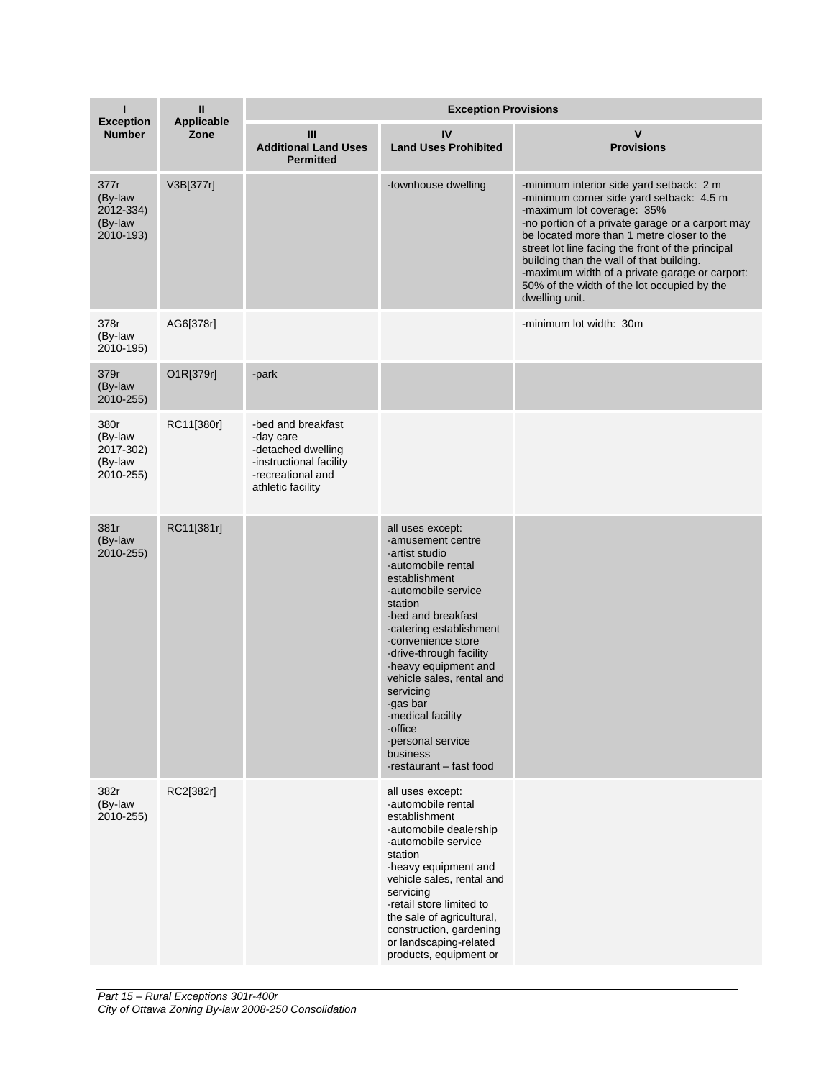| <b>Exception</b>                                     | Ш<br>Applicable<br>Zone | <b>Exception Provisions</b>                                                                                                |                                                                                                                                                                                                                                                                                                                                                                                                              |                                                                                                                                                                                                                                                                                                                                                                                                                                          |  |
|------------------------------------------------------|-------------------------|----------------------------------------------------------------------------------------------------------------------------|--------------------------------------------------------------------------------------------------------------------------------------------------------------------------------------------------------------------------------------------------------------------------------------------------------------------------------------------------------------------------------------------------------------|------------------------------------------------------------------------------------------------------------------------------------------------------------------------------------------------------------------------------------------------------------------------------------------------------------------------------------------------------------------------------------------------------------------------------------------|--|
| <b>Number</b>                                        |                         | Ш<br><b>Additional Land Uses</b><br><b>Permitted</b>                                                                       | IV<br><b>Land Uses Prohibited</b>                                                                                                                                                                                                                                                                                                                                                                            | V<br><b>Provisions</b>                                                                                                                                                                                                                                                                                                                                                                                                                   |  |
| 377r<br>(By-law<br>2012-334)<br>(By-law<br>2010-193) | V3B[377r]               |                                                                                                                            | -townhouse dwelling                                                                                                                                                                                                                                                                                                                                                                                          | -minimum interior side yard setback: 2 m<br>-minimum corner side yard setback: 4.5 m<br>-maximum lot coverage: 35%<br>-no portion of a private garage or a carport may<br>be located more than 1 metre closer to the<br>street lot line facing the front of the principal<br>building than the wall of that building.<br>-maximum width of a private garage or carport:<br>50% of the width of the lot occupied by the<br>dwelling unit. |  |
| 378r<br>(By-law<br>2010-195)                         | AG6[378r]               |                                                                                                                            |                                                                                                                                                                                                                                                                                                                                                                                                              | -minimum lot width: 30m                                                                                                                                                                                                                                                                                                                                                                                                                  |  |
| 379r<br>(By-law<br>2010-255)                         | O1R[379r]               | -park                                                                                                                      |                                                                                                                                                                                                                                                                                                                                                                                                              |                                                                                                                                                                                                                                                                                                                                                                                                                                          |  |
| 380r<br>(By-law<br>2017-302)<br>(By-law<br>2010-255) | RC11[380r]              | -bed and breakfast<br>-day care<br>-detached dwelling<br>-instructional facility<br>-recreational and<br>athletic facility |                                                                                                                                                                                                                                                                                                                                                                                                              |                                                                                                                                                                                                                                                                                                                                                                                                                                          |  |
| 381r<br>(By-law<br>2010-255)                         | RC11[381r]              |                                                                                                                            | all uses except:<br>-amusement centre<br>-artist studio<br>-automobile rental<br>establishment<br>-automobile service<br>station<br>-bed and breakfast<br>-catering establishment<br>-convenience store<br>-drive-through facility<br>-heavy equipment and<br>vehicle sales, rental and<br>servicing<br>-gas bar<br>-medical facility<br>-office<br>-personal service<br>business<br>-restaurant - fast food |                                                                                                                                                                                                                                                                                                                                                                                                                                          |  |
| 382r<br>(By-law<br>2010-255)                         | RC2[382r]               |                                                                                                                            | all uses except:<br>-automobile rental<br>establishment<br>-automobile dealership<br>-automobile service<br>station<br>-heavy equipment and<br>vehicle sales, rental and<br>servicing<br>-retail store limited to<br>the sale of agricultural,<br>construction, gardening<br>or landscaping-related<br>products, equipment or                                                                                |                                                                                                                                                                                                                                                                                                                                                                                                                                          |  |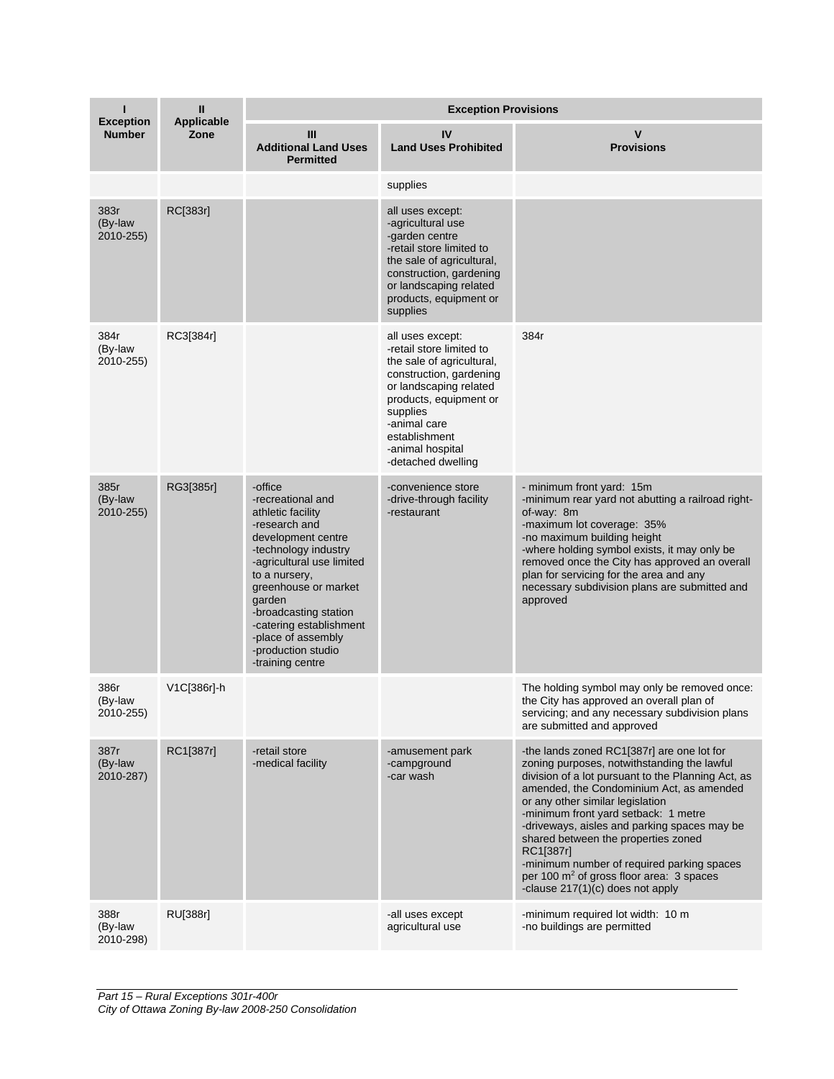| п                                 | Ш<br>Applicable<br>Zone | <b>Exception Provisions</b>                                                                                                                                                                                                                                                                                          |                                                                                                                                                                                                                                                 |                                                                                                                                                                                                                                                                                                                                                                                                                                                                                                                       |  |
|-----------------------------------|-------------------------|----------------------------------------------------------------------------------------------------------------------------------------------------------------------------------------------------------------------------------------------------------------------------------------------------------------------|-------------------------------------------------------------------------------------------------------------------------------------------------------------------------------------------------------------------------------------------------|-----------------------------------------------------------------------------------------------------------------------------------------------------------------------------------------------------------------------------------------------------------------------------------------------------------------------------------------------------------------------------------------------------------------------------------------------------------------------------------------------------------------------|--|
| <b>Exception</b><br><b>Number</b> |                         | Ш<br><b>Additional Land Uses</b><br><b>Permitted</b>                                                                                                                                                                                                                                                                 | IV<br><b>Land Uses Prohibited</b>                                                                                                                                                                                                               | V<br><b>Provisions</b>                                                                                                                                                                                                                                                                                                                                                                                                                                                                                                |  |
|                                   |                         |                                                                                                                                                                                                                                                                                                                      | supplies                                                                                                                                                                                                                                        |                                                                                                                                                                                                                                                                                                                                                                                                                                                                                                                       |  |
| 383r<br>(By-law<br>2010-255)      | RC[383r]                |                                                                                                                                                                                                                                                                                                                      | all uses except:<br>-agricultural use<br>-garden centre<br>-retail store limited to<br>the sale of agricultural,<br>construction, gardening<br>or landscaping related<br>products, equipment or<br>supplies                                     |                                                                                                                                                                                                                                                                                                                                                                                                                                                                                                                       |  |
| 384r<br>(By-law<br>2010-255)      | RC3[384r]               |                                                                                                                                                                                                                                                                                                                      | all uses except:<br>-retail store limited to<br>the sale of agricultural,<br>construction, gardening<br>or landscaping related<br>products, equipment or<br>supplies<br>-animal care<br>establishment<br>-animal hospital<br>-detached dwelling | 384r                                                                                                                                                                                                                                                                                                                                                                                                                                                                                                                  |  |
| 385r<br>(By-law<br>2010-255)      | RG3[385r]               | -office<br>-recreational and<br>athletic facility<br>-research and<br>development centre<br>-technology industry<br>-agricultural use limited<br>to a nursery,<br>greenhouse or market<br>garden<br>-broadcasting station<br>-catering establishment<br>-place of assembly<br>-production studio<br>-training centre | -convenience store<br>-drive-through facility<br>-restaurant                                                                                                                                                                                    | - minimum front yard: 15m<br>-minimum rear yard not abutting a railroad right-<br>of-way: 8m<br>-maximum lot coverage: 35%<br>-no maximum building height<br>-where holding symbol exists, it may only be<br>removed once the City has approved an overall<br>plan for servicing for the area and any<br>necessary subdivision plans are submitted and<br>approved                                                                                                                                                    |  |
| 386r<br>(By-law<br>2010-255)      | V1C[386r]-h             |                                                                                                                                                                                                                                                                                                                      |                                                                                                                                                                                                                                                 | The holding symbol may only be removed once:<br>the City has approved an overall plan of<br>servicing; and any necessary subdivision plans<br>are submitted and approved                                                                                                                                                                                                                                                                                                                                              |  |
| 387r<br>(By-law<br>2010-287)      | RC1[387r]               | -retail store<br>-medical facility                                                                                                                                                                                                                                                                                   | -amusement park<br>-campground<br>-car wash                                                                                                                                                                                                     | -the lands zoned RC1[387r] are one lot for<br>zoning purposes, notwithstanding the lawful<br>division of a lot pursuant to the Planning Act, as<br>amended, the Condominium Act, as amended<br>or any other similar legislation<br>-minimum front yard setback: 1 metre<br>-driveways, aisles and parking spaces may be<br>shared between the properties zoned<br>RC1[387r]<br>-minimum number of required parking spaces<br>per 100 m <sup>2</sup> of gross floor area: 3 spaces<br>-clause 217(1)(c) does not apply |  |
| 388r<br>(By-law<br>2010-298)      | RU[388r]                |                                                                                                                                                                                                                                                                                                                      | -all uses except<br>agricultural use                                                                                                                                                                                                            | -minimum required lot width: 10 m<br>-no buildings are permitted                                                                                                                                                                                                                                                                                                                                                                                                                                                      |  |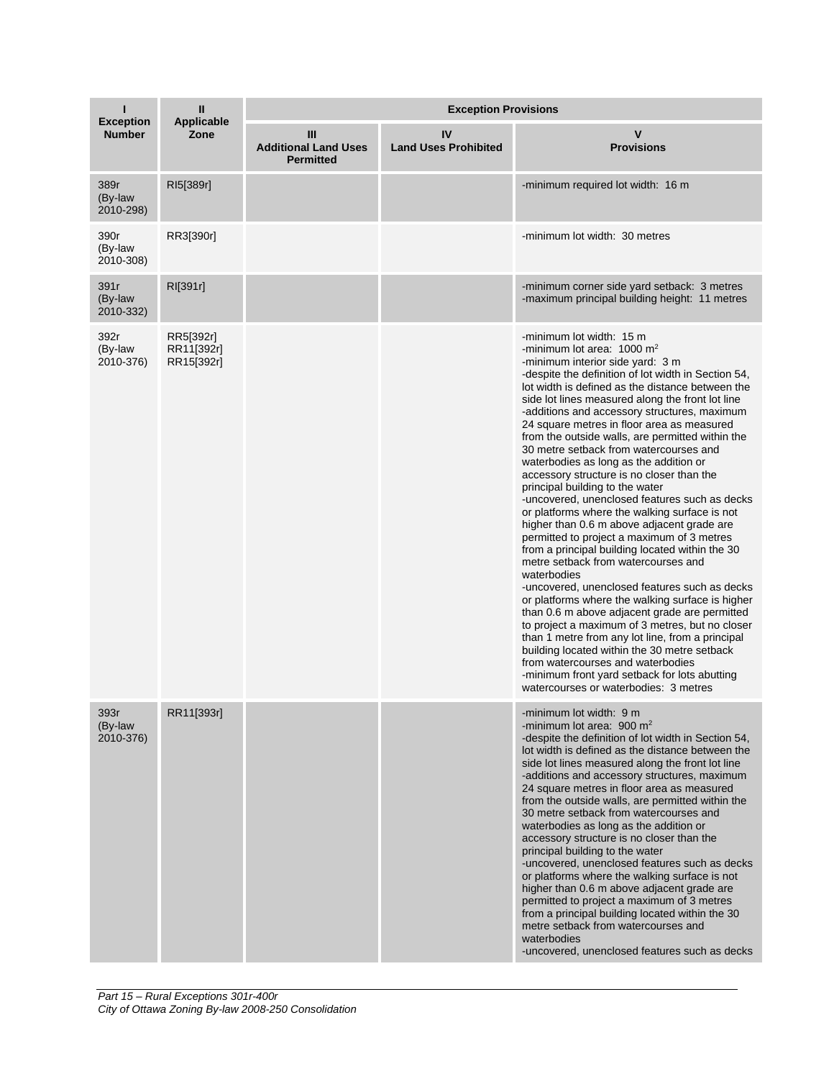| <b>Exception</b>             | Ш<br><b>Applicable</b><br>Zone        | <b>Exception Provisions</b>                          |                                   |                                                                                                                                                                                                                                                                                                                                                                                                                                                                                                                                                                                                                                                                                                                                                                                                                                                                                                                                                                                                                                                                                                                                                                                                                                                                                                                                               |  |
|------------------------------|---------------------------------------|------------------------------------------------------|-----------------------------------|-----------------------------------------------------------------------------------------------------------------------------------------------------------------------------------------------------------------------------------------------------------------------------------------------------------------------------------------------------------------------------------------------------------------------------------------------------------------------------------------------------------------------------------------------------------------------------------------------------------------------------------------------------------------------------------------------------------------------------------------------------------------------------------------------------------------------------------------------------------------------------------------------------------------------------------------------------------------------------------------------------------------------------------------------------------------------------------------------------------------------------------------------------------------------------------------------------------------------------------------------------------------------------------------------------------------------------------------------|--|
| <b>Number</b>                |                                       | Ш<br><b>Additional Land Uses</b><br><b>Permitted</b> | IV<br><b>Land Uses Prohibited</b> | v<br><b>Provisions</b>                                                                                                                                                                                                                                                                                                                                                                                                                                                                                                                                                                                                                                                                                                                                                                                                                                                                                                                                                                                                                                                                                                                                                                                                                                                                                                                        |  |
| 389r<br>(By-law<br>2010-298) | RI5[389r]                             |                                                      |                                   | -minimum required lot width: 16 m                                                                                                                                                                                                                                                                                                                                                                                                                                                                                                                                                                                                                                                                                                                                                                                                                                                                                                                                                                                                                                                                                                                                                                                                                                                                                                             |  |
| 390r<br>(By-law<br>2010-308) | RR3[390r]                             |                                                      |                                   | -minimum lot width: 30 metres                                                                                                                                                                                                                                                                                                                                                                                                                                                                                                                                                                                                                                                                                                                                                                                                                                                                                                                                                                                                                                                                                                                                                                                                                                                                                                                 |  |
| 391r<br>(By-law<br>2010-332) | RI[391r]                              |                                                      |                                   | -minimum corner side yard setback: 3 metres<br>-maximum principal building height: 11 metres                                                                                                                                                                                                                                                                                                                                                                                                                                                                                                                                                                                                                                                                                                                                                                                                                                                                                                                                                                                                                                                                                                                                                                                                                                                  |  |
| 392r<br>(By-law<br>2010-376) | RR5[392r]<br>RR11[392r]<br>RR15[392r] |                                                      |                                   | -minimum lot width: 15 m<br>-minimum lot area: $1000 \text{ m}^2$<br>-minimum interior side yard: 3 m<br>-despite the definition of lot width in Section 54,<br>lot width is defined as the distance between the<br>side lot lines measured along the front lot line<br>-additions and accessory structures, maximum<br>24 square metres in floor area as measured<br>from the outside walls, are permitted within the<br>30 metre setback from watercourses and<br>waterbodies as long as the addition or<br>accessory structure is no closer than the<br>principal building to the water<br>-uncovered, unenclosed features such as decks<br>or platforms where the walking surface is not<br>higher than 0.6 m above adjacent grade are<br>permitted to project a maximum of 3 metres<br>from a principal building located within the 30<br>metre setback from watercourses and<br>waterbodies<br>-uncovered, unenclosed features such as decks<br>or platforms where the walking surface is higher<br>than 0.6 m above adjacent grade are permitted<br>to project a maximum of 3 metres, but no closer<br>than 1 metre from any lot line, from a principal<br>building located within the 30 metre setback<br>from watercourses and waterbodies<br>-minimum front yard setback for lots abutting<br>watercourses or waterbodies: 3 metres |  |
| 393r<br>(By-law<br>2010-376) | RR11[393r]                            |                                                      |                                   | -minimum lot width: 9 m<br>-minimum lot area: 900 $m2$<br>-despite the definition of lot width in Section 54,<br>lot width is defined as the distance between the<br>side lot lines measured along the front lot line<br>-additions and accessory structures, maximum<br>24 square metres in floor area as measured<br>from the outside walls, are permitted within the<br>30 metre setback from watercourses and<br>waterbodies as long as the addition or<br>accessory structure is no closer than the<br>principal building to the water<br>-uncovered, unenclosed features such as decks<br>or platforms where the walking surface is not<br>higher than 0.6 m above adjacent grade are<br>permitted to project a maximum of 3 metres<br>from a principal building located within the 30<br>metre setback from watercourses and<br>waterbodies<br>-uncovered, unenclosed features such as decks                                                                                                                                                                                                                                                                                                                                                                                                                                           |  |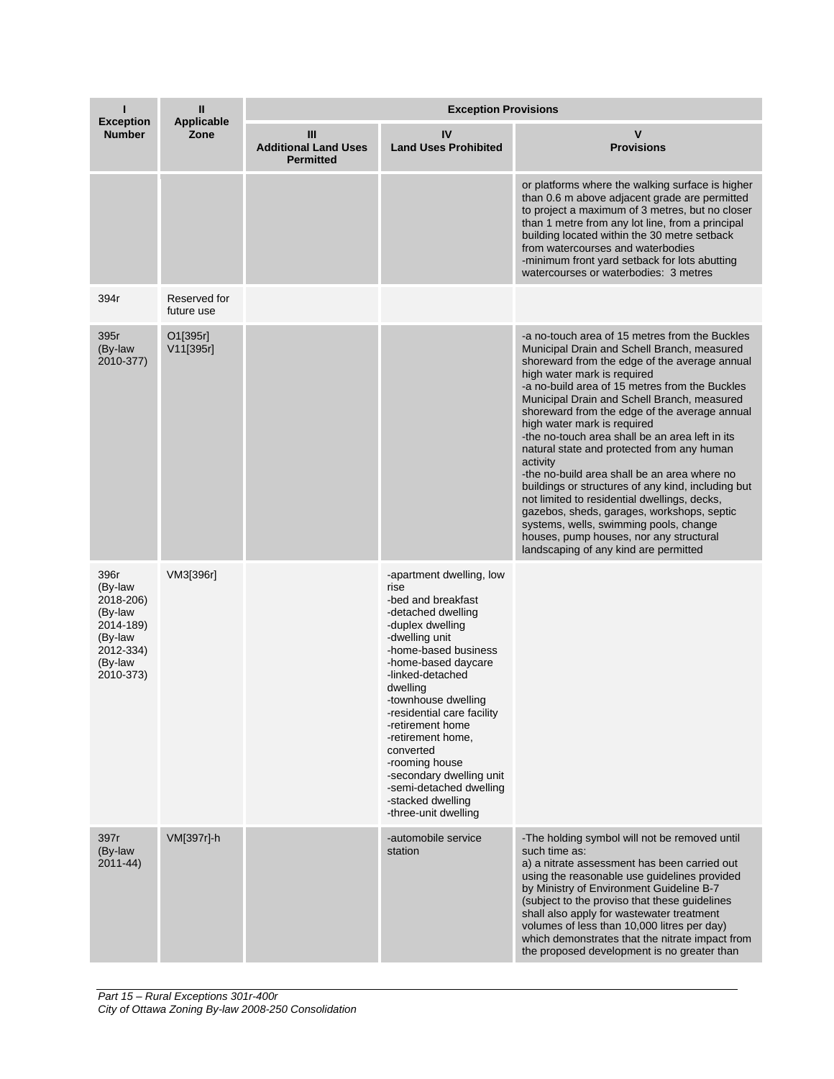| <b>Exception</b>                                                                                     | Ш<br><b>Applicable</b><br>Zone | <b>Exception Provisions</b>                          |                                                                                                                                                                                                                                                                                                                                                                                                                                    |                                                                                                                                                                                                                                                                                                                                                                                                                                                                                                                                                                                                                                                                                                                                                                                                               |  |
|------------------------------------------------------------------------------------------------------|--------------------------------|------------------------------------------------------|------------------------------------------------------------------------------------------------------------------------------------------------------------------------------------------------------------------------------------------------------------------------------------------------------------------------------------------------------------------------------------------------------------------------------------|---------------------------------------------------------------------------------------------------------------------------------------------------------------------------------------------------------------------------------------------------------------------------------------------------------------------------------------------------------------------------------------------------------------------------------------------------------------------------------------------------------------------------------------------------------------------------------------------------------------------------------------------------------------------------------------------------------------------------------------------------------------------------------------------------------------|--|
| <b>Number</b>                                                                                        |                                | Ш<br><b>Additional Land Uses</b><br><b>Permitted</b> | IV<br><b>Land Uses Prohibited</b>                                                                                                                                                                                                                                                                                                                                                                                                  | v<br><b>Provisions</b>                                                                                                                                                                                                                                                                                                                                                                                                                                                                                                                                                                                                                                                                                                                                                                                        |  |
|                                                                                                      |                                |                                                      |                                                                                                                                                                                                                                                                                                                                                                                                                                    | or platforms where the walking surface is higher<br>than 0.6 m above adjacent grade are permitted<br>to project a maximum of 3 metres, but no closer<br>than 1 metre from any lot line, from a principal<br>building located within the 30 metre setback<br>from watercourses and waterbodies<br>-minimum front yard setback for lots abutting<br>watercourses or waterbodies: 3 metres                                                                                                                                                                                                                                                                                                                                                                                                                       |  |
| 394r                                                                                                 | Reserved for<br>future use     |                                                      |                                                                                                                                                                                                                                                                                                                                                                                                                                    |                                                                                                                                                                                                                                                                                                                                                                                                                                                                                                                                                                                                                                                                                                                                                                                                               |  |
| 395r<br>(By-law<br>2010-377)                                                                         | O1[395r]<br>V11[395r]          |                                                      |                                                                                                                                                                                                                                                                                                                                                                                                                                    | -a no-touch area of 15 metres from the Buckles<br>Municipal Drain and Schell Branch, measured<br>shoreward from the edge of the average annual<br>high water mark is required<br>-a no-build area of 15 metres from the Buckles<br>Municipal Drain and Schell Branch, measured<br>shoreward from the edge of the average annual<br>high water mark is required<br>-the no-touch area shall be an area left in its<br>natural state and protected from any human<br>activity<br>-the no-build area shall be an area where no<br>buildings or structures of any kind, including but<br>not limited to residential dwellings, decks,<br>gazebos, sheds, garages, workshops, septic<br>systems, wells, swimming pools, change<br>houses, pump houses, nor any structural<br>landscaping of any kind are permitted |  |
| 396r<br>(By-law<br>2018-206)<br>(By-law<br>2014-189)<br>(By-law<br>2012-334)<br>(By-law<br>2010-373) | VM3[396r]                      |                                                      | -apartment dwelling, low<br>rise<br>-bed and breakfast<br>-detached dwelling<br>-duplex dwelling<br>-dwelling unit<br>-home-based business<br>-home-based daycare<br>-linked-detached<br>dwelling<br>-townhouse dwelling<br>-residential care facility<br>-retirement home<br>-retirement home.<br>converted<br>-rooming house<br>-secondary dwelling unit<br>-semi-detached dwelling<br>-stacked dwelling<br>-three-unit dwelling |                                                                                                                                                                                                                                                                                                                                                                                                                                                                                                                                                                                                                                                                                                                                                                                                               |  |
| 397r<br>(By-law<br>$2011 - 44$                                                                       | VM[397r]-h                     |                                                      | -automobile service<br>station                                                                                                                                                                                                                                                                                                                                                                                                     | -The holding symbol will not be removed until<br>such time as:<br>a) a nitrate assessment has been carried out<br>using the reasonable use guidelines provided<br>by Ministry of Environment Guideline B-7<br>(subject to the proviso that these guidelines<br>shall also apply for wastewater treatment<br>volumes of less than 10,000 litres per day)<br>which demonstrates that the nitrate impact from<br>the proposed development is no greater than                                                                                                                                                                                                                                                                                                                                                     |  |